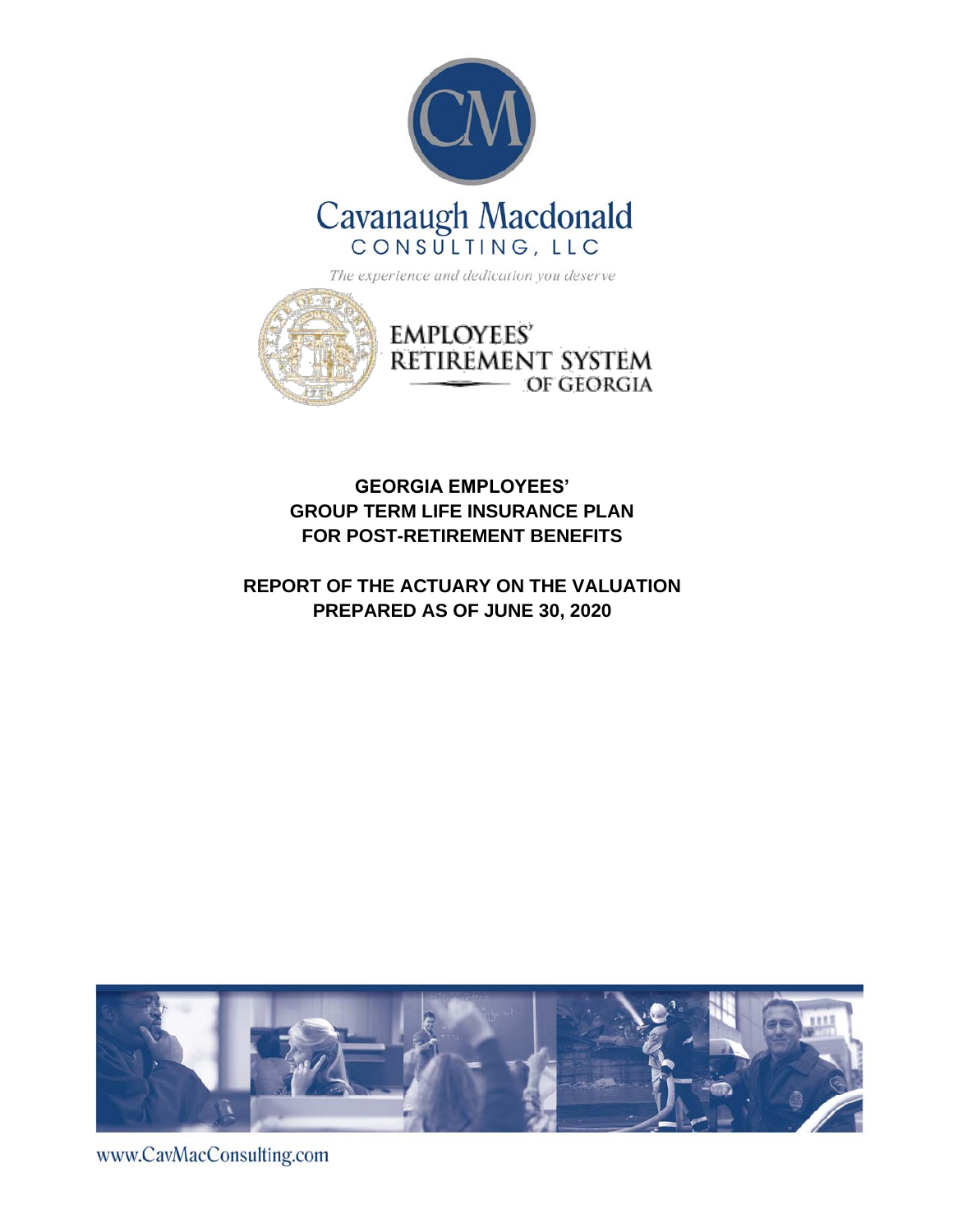



## **GEORGIA EMPLOYEES' GROUP TERM LIFE INSURANCE PLAN FOR POST-RETIREMENT BENEFITS**

## **REPORT OF THE ACTUARY ON THE VALUATION PREPARED AS OF JUNE 30, 2020**



www.CavMacConsulting.com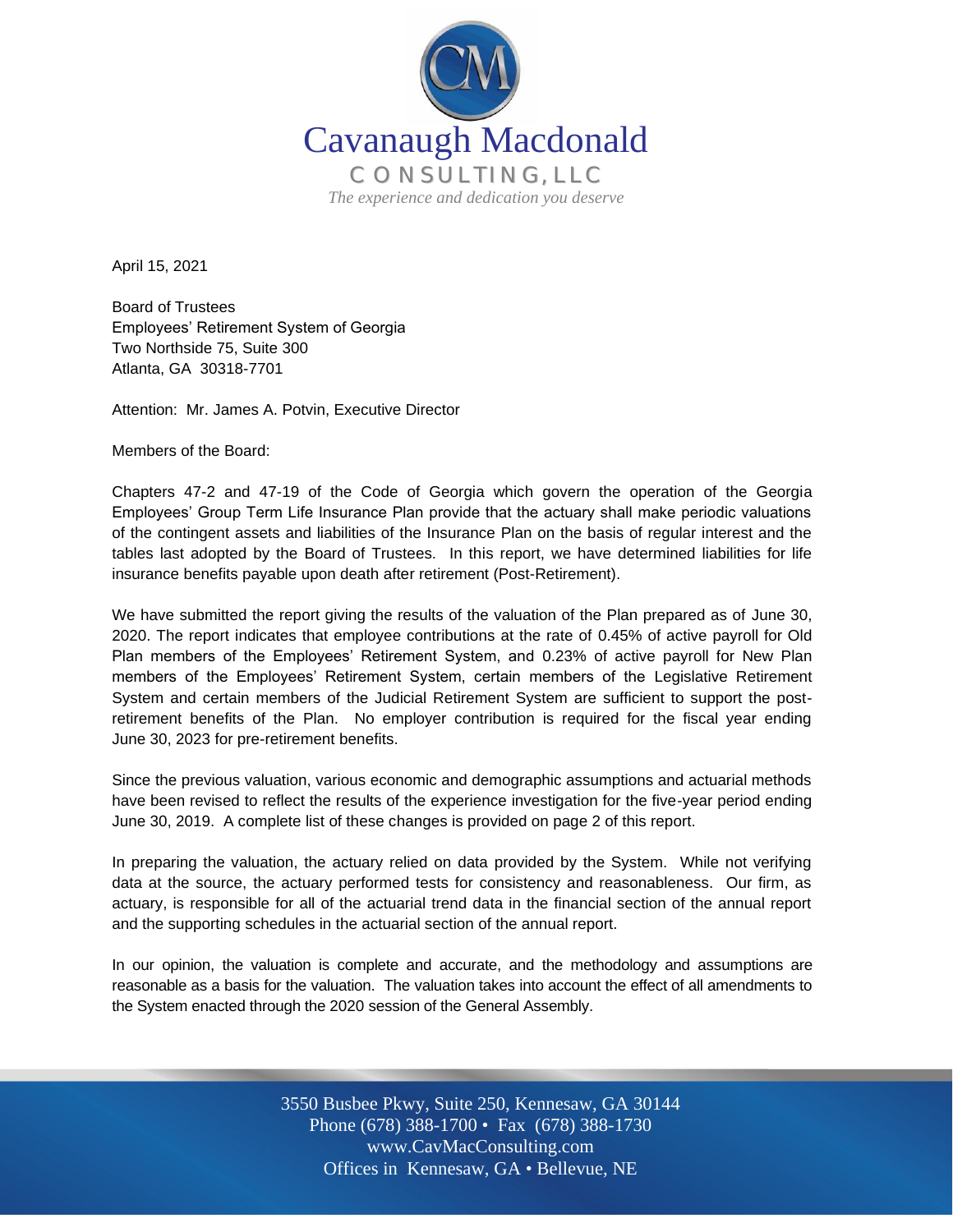

April 15, 2021

Board of Trustees Employees' Retirement System of Georgia Two Northside 75, Suite 300 Atlanta, GA 30318-7701

Attention: Mr. James A. Potvin, Executive Director

Members of the Board:

Chapters 47-2 and 47-19 of the Code of Georgia which govern the operation of the Georgia Employees' Group Term Life Insurance Plan provide that the actuary shall make periodic valuations of the contingent assets and liabilities of the Insurance Plan on the basis of regular interest and the tables last adopted by the Board of Trustees. In this report, we have determined liabilities for life insurance benefits payable upon death after retirement (Post-Retirement).

We have submitted the report giving the results of the valuation of the Plan prepared as of June 30, 2020. The report indicates that employee contributions at the rate of 0.45% of active payroll for Old Plan members of the Employees' Retirement System, and 0.23% of active payroll for New Plan members of the Employees' Retirement System, certain members of the Legislative Retirement System and certain members of the Judicial Retirement System are sufficient to support the postretirement benefits of the Plan. No employer contribution is required for the fiscal year ending June 30, 2023 for pre-retirement benefits.

Since the previous valuation, various economic and demographic assumptions and actuarial methods have been revised to reflect the results of the experience investigation for the five-year period ending June 30, 2019. A complete list of these changes is provided on page 2 of this report.

In preparing the valuation, the actuary relied on data provided by the System. While not verifying data at the source, the actuary performed tests for consistency and reasonableness. Our firm, as actuary, is responsible for all of the actuarial trend data in the financial section of the annual report and the supporting schedules in the actuarial section of the annual report.

In our opinion, the valuation is complete and accurate, and the methodology and assumptions are reasonable as a basis for the valuation. The valuation takes into account the effect of all amendments to the System enacted through the 2020 session of the General Assembly.

> Off Offices in Kennesaw, GA • Bellevue, NE 3550 Busbee Pkwy, Suite 250, Kennesaw, GA 30144 Phone (678) 388-1700 • Fax (678) 388-1730 www.CavMacConsulting.com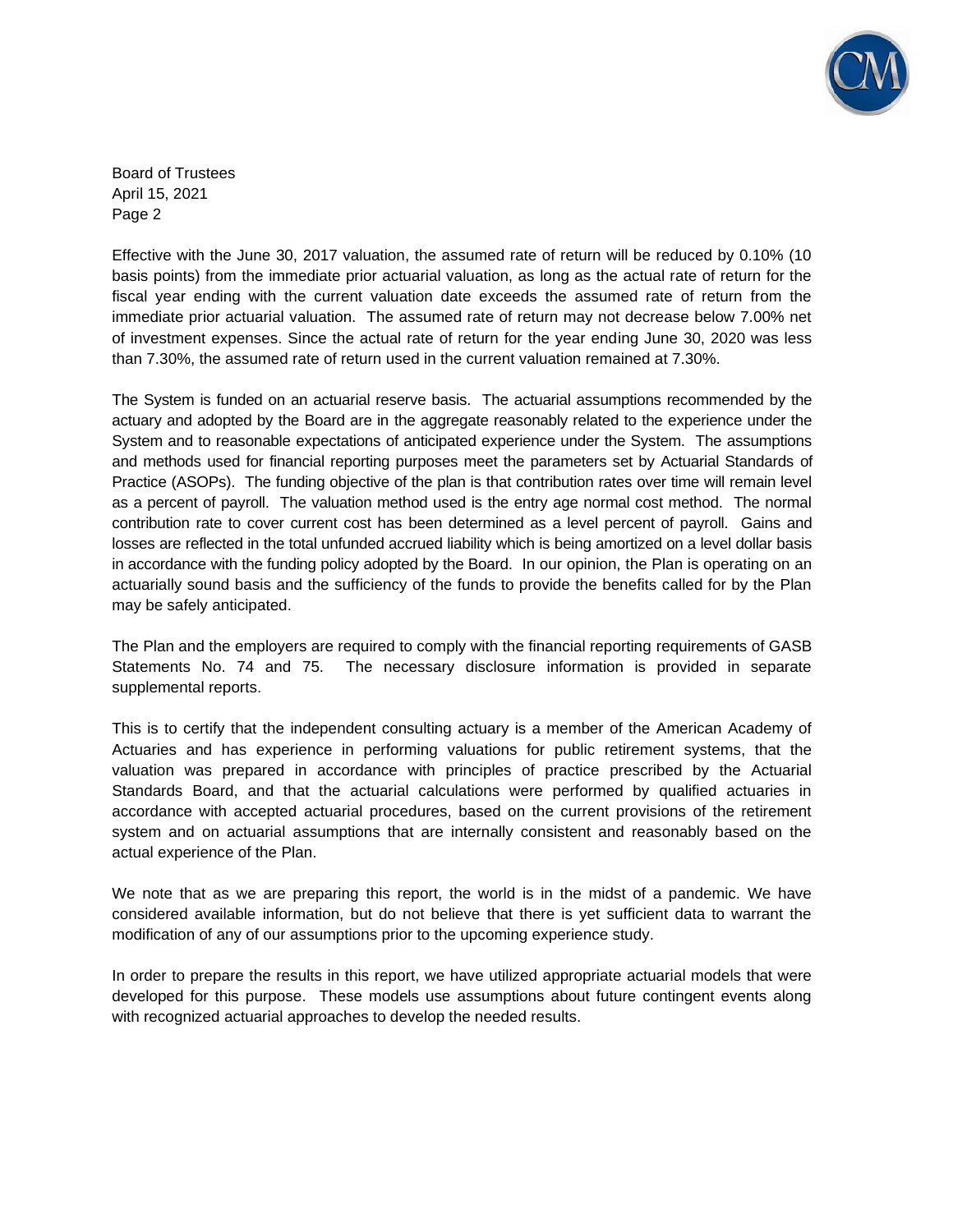

Board of Trustees April 15, 2021 Page 2

Effective with the June 30, 2017 valuation, the assumed rate of return will be reduced by 0.10% (10 basis points) from the immediate prior actuarial valuation, as long as the actual rate of return for the fiscal year ending with the current valuation date exceeds the assumed rate of return from the immediate prior actuarial valuation. The assumed rate of return may not decrease below 7.00% net of investment expenses. Since the actual rate of return for the year ending June 30, 2020 was less than 7.30%, the assumed rate of return used in the current valuation remained at 7.30%.

The System is funded on an actuarial reserve basis. The actuarial assumptions recommended by the actuary and adopted by the Board are in the aggregate reasonably related to the experience under the System and to reasonable expectations of anticipated experience under the System. The assumptions and methods used for financial reporting purposes meet the parameters set by Actuarial Standards of Practice (ASOPs). The funding objective of the plan is that contribution rates over time will remain level as a percent of payroll. The valuation method used is the entry age normal cost method. The normal contribution rate to cover current cost has been determined as a level percent of payroll. Gains and losses are reflected in the total unfunded accrued liability which is being amortized on a level dollar basis in accordance with the funding policy adopted by the Board. In our opinion, the Plan is operating on an actuarially sound basis and the sufficiency of the funds to provide the benefits called for by the Plan may be safely anticipated.

The Plan and the employers are required to comply with the financial reporting requirements of GASB Statements No. 74 and 75. The necessary disclosure information is provided in separate supplemental reports.

This is to certify that the independent consulting actuary is a member of the American Academy of Actuaries and has experience in performing valuations for public retirement systems, that the valuation was prepared in accordance with principles of practice prescribed by the Actuarial Standards Board, and that the actuarial calculations were performed by qualified actuaries in accordance with accepted actuarial procedures, based on the current provisions of the retirement system and on actuarial assumptions that are internally consistent and reasonably based on the actual experience of the Plan.

We note that as we are preparing this report, the world is in the midst of a pandemic. We have considered available information, but do not believe that there is yet sufficient data to warrant the modification of any of our assumptions prior to the upcoming experience study.

In order to prepare the results in this report, we have utilized appropriate actuarial models that were developed for this purpose. These models use assumptions about future contingent events along with recognized actuarial approaches to develop the needed results.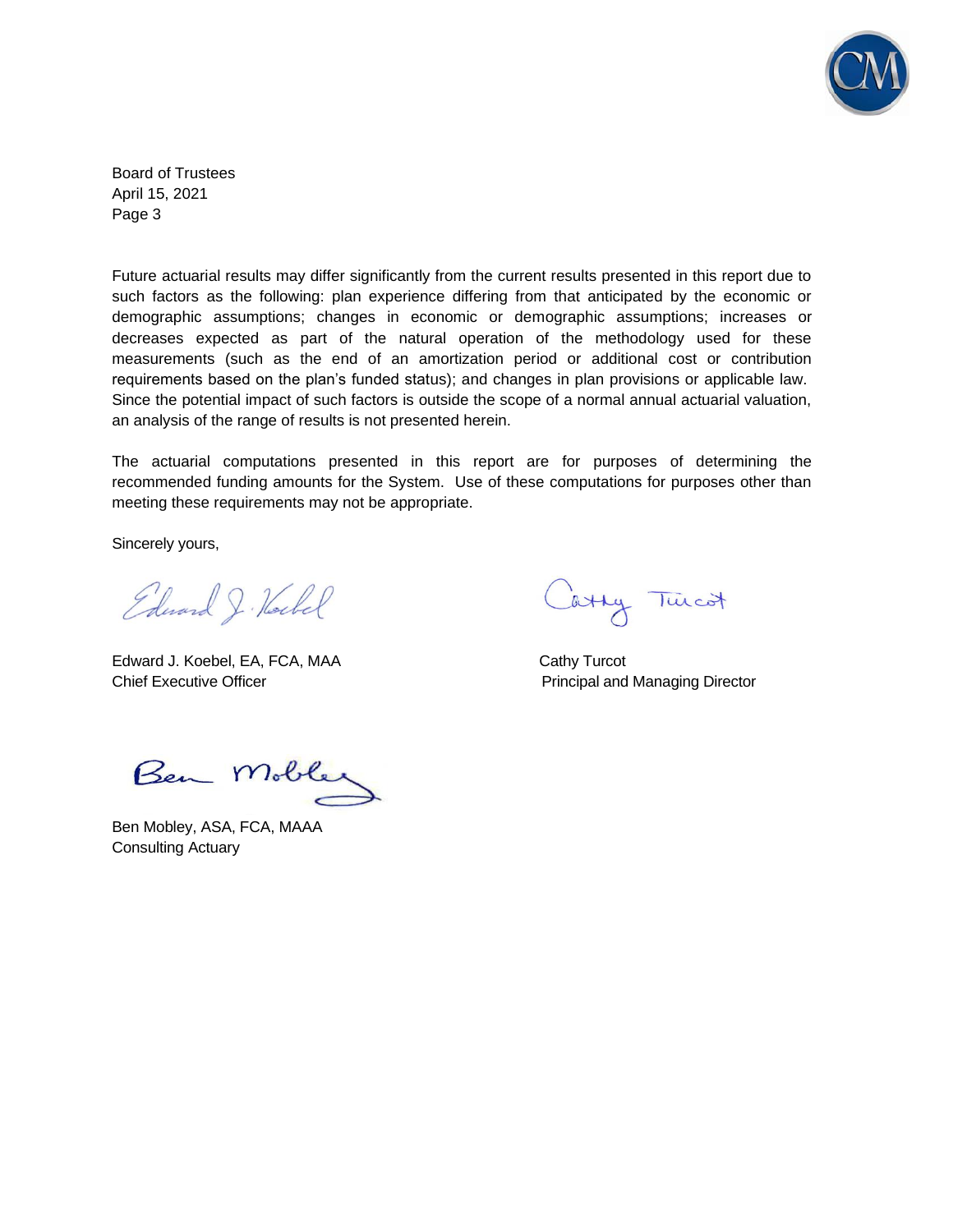

Board of Trustees April 15, 2021 Page 3

Future actuarial results may differ significantly from the current results presented in this report due to such factors as the following: plan experience differing from that anticipated by the economic or demographic assumptions; changes in economic or demographic assumptions; increases or decreases expected as part of the natural operation of the methodology used for these measurements (such as the end of an amortization period or additional cost or contribution requirements based on the plan's funded status); and changes in plan provisions or applicable law. Since the potential impact of such factors is outside the scope of a normal annual actuarial valuation, an analysis of the range of results is not presented herein.

The actuarial computations presented in this report are for purposes of determining the recommended funding amounts for the System. Use of these computations for purposes other than meeting these requirements may not be appropriate.

Sincerely yours,

Edward J. Hockel

Edward J. Koebel, EA, FCA, MAA Cathy Turcot Chief Executive Officer **Principal and Managing Director** Principal and Managing Director

Cathy Turcot

Ben Mobley

Ben Mobley, ASA, FCA, MAAA Consulting Actuary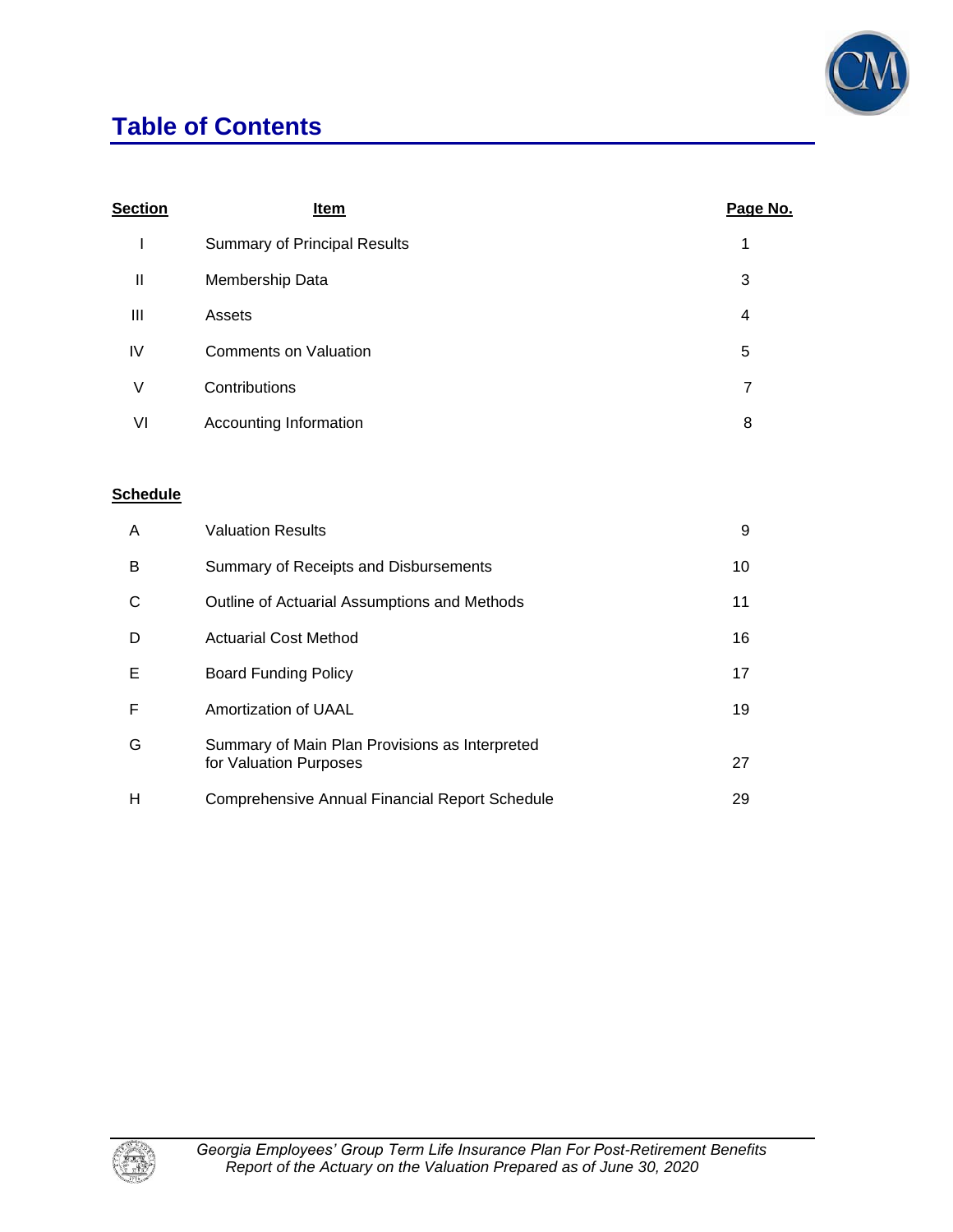

# **Table of Contents**

| <b>Section</b> | Item                                | Page No. |
|----------------|-------------------------------------|----------|
|                | <b>Summary of Principal Results</b> | 1        |
| $\mathbf{I}$   | Membership Data                     | 3        |
| Ш              | Assets                              | 4        |
| IV             | <b>Comments on Valuation</b>        | 5        |
| ٧              | Contributions                       | 7        |
| VI             | Accounting Information              | 8        |

## **Schedule**

| A | <b>Valuation Results</b>                                                 | 9  |
|---|--------------------------------------------------------------------------|----|
| B | Summary of Receipts and Disbursements                                    | 10 |
| С | Outline of Actuarial Assumptions and Methods                             | 11 |
| D | <b>Actuarial Cost Method</b>                                             | 16 |
| Е | <b>Board Funding Policy</b>                                              | 17 |
| F | Amortization of UAAL                                                     | 19 |
| G | Summary of Main Plan Provisions as Interpreted<br>for Valuation Purposes | 27 |
| н | Comprehensive Annual Financial Report Schedule                           | 29 |

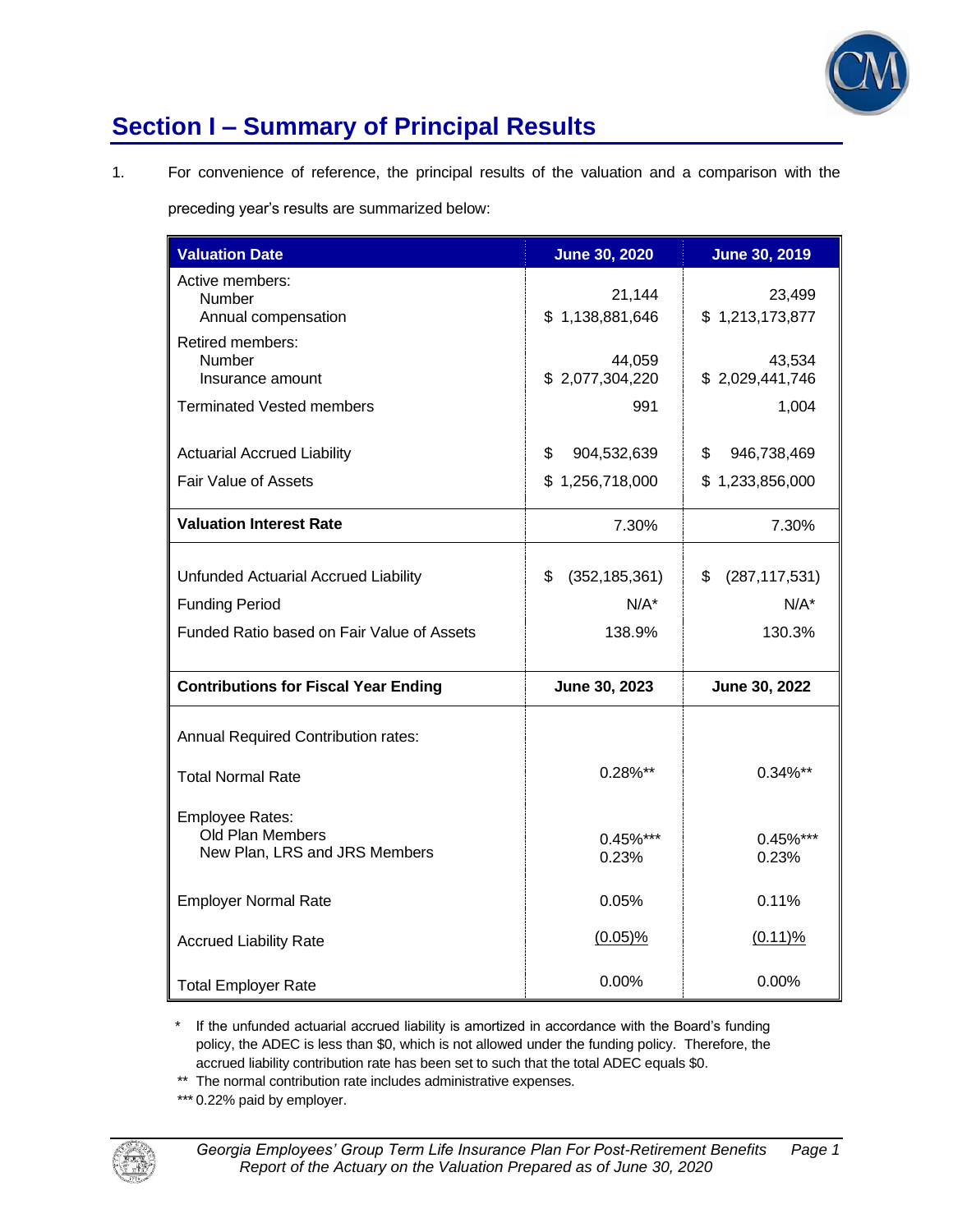

# **Section I – Summary of Principal Results**

1. For convenience of reference, the principal results of the valuation and a comparison with the

preceding year's results are summarized below:

| <b>Valuation Date</b>                                                                                       | <b>June 30, 2020</b>                       | <b>June 30, 2019</b>                       |
|-------------------------------------------------------------------------------------------------------------|--------------------------------------------|--------------------------------------------|
| Active members:<br>Number<br>Annual compensation                                                            | 21,144<br>\$1,138,881,646                  | 23,499<br>\$1,213,173,877                  |
| Retired members:<br>Number<br>Insurance amount                                                              | 44,059<br>\$2,077,304,220                  | 43,534<br>\$2,029,441,746                  |
| <b>Terminated Vested members</b>                                                                            | 991                                        | 1,004                                      |
| <b>Actuarial Accrued Liability</b>                                                                          | \$<br>904,532,639                          | \$<br>946,738,469                          |
| Fair Value of Assets                                                                                        | \$1,256,718,000                            | \$1,233,856,000                            |
| <b>Valuation Interest Rate</b>                                                                              | 7.30%                                      | 7.30%                                      |
| Unfunded Actuarial Accrued Liability<br><b>Funding Period</b><br>Funded Ratio based on Fair Value of Assets | \$<br>(352, 185, 361)<br>$N/A^*$<br>138.9% | \$<br>(287, 117, 531)<br>$N/A^*$<br>130.3% |
| <b>Contributions for Fiscal Year Ending</b>                                                                 | June 30, 2023                              | June 30, 2022                              |
| Annual Required Contribution rates:                                                                         |                                            |                                            |
| <b>Total Normal Rate</b>                                                                                    | 0.28%**                                    | $0.34\%**$                                 |
| <b>Employee Rates:</b><br>Old Plan Members<br>New Plan, LRS and JRS Members                                 | $0.45\%$ ***<br>0.23%                      | 0.45%***<br>0.23%                          |
| <b>Employer Normal Rate</b>                                                                                 | $0.05\%$                                   | 0.11%                                      |
| <b>Accrued Liability Rate</b>                                                                               | $(0.05)\%$                                 | $(0.11)\%$                                 |
| <b>Total Employer Rate</b>                                                                                  | 0.00%                                      | $0.00\%$                                   |

\* If the unfunded actuarial accrued liability is amortized in accordance with the Board's funding policy, the ADEC is less than \$0, which is not allowed under the funding policy. Therefore, the accrued liability contribution rate has been set to such that the total ADEC equals \$0.

\*\* The normal contribution rate includes administrative expenses.

\*\*\* 0.22% paid by employer.

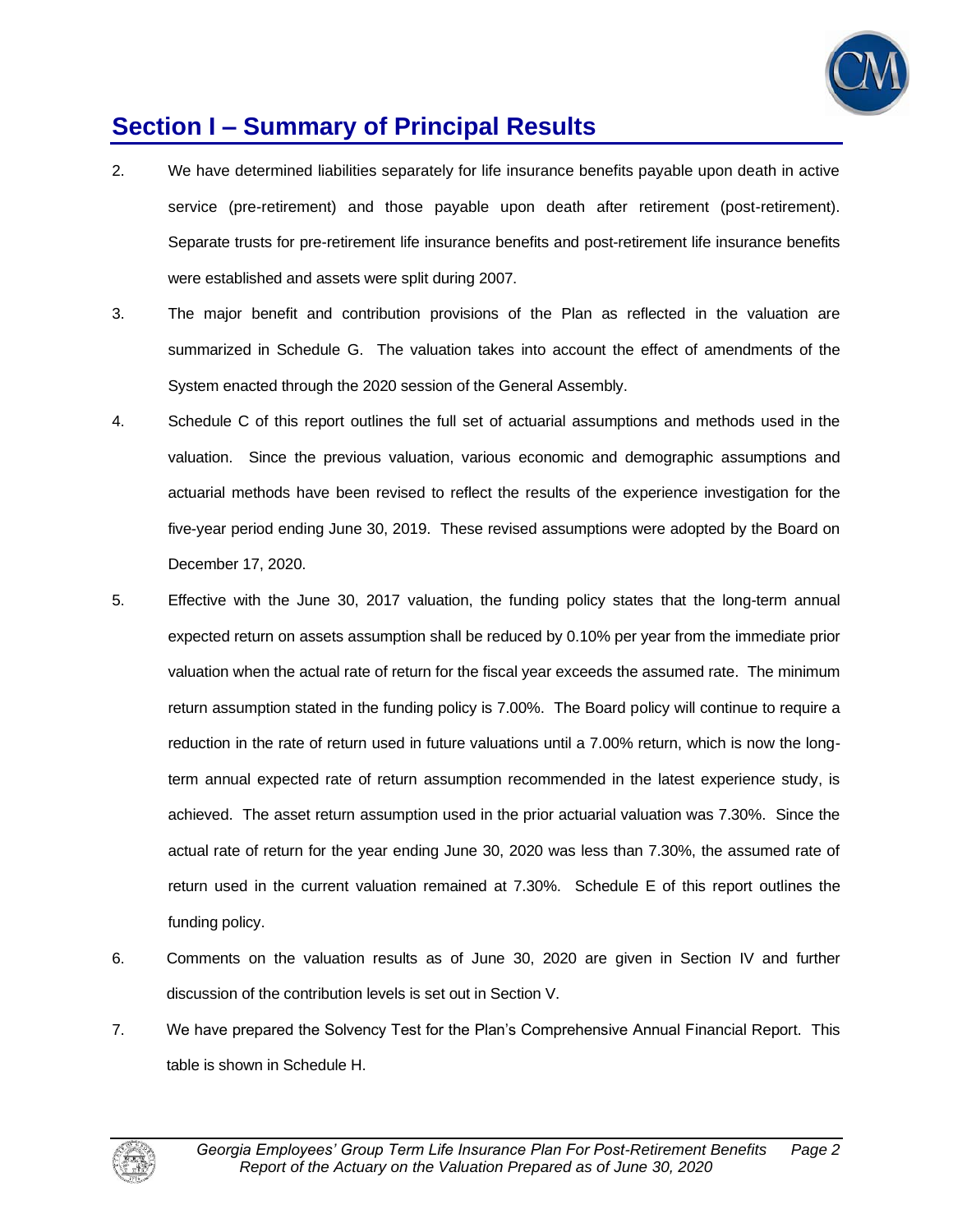

## **Section I – Summary of Principal Results**

- 2. We have determined liabilities separately for life insurance benefits payable upon death in active service (pre-retirement) and those payable upon death after retirement (post-retirement). Separate trusts for pre-retirement life insurance benefits and post-retirement life insurance benefits were established and assets were split during 2007.
- 3. The major benefit and contribution provisions of the Plan as reflected in the valuation are summarized in Schedule G. The valuation takes into account the effect of amendments of the System enacted through the 2020 session of the General Assembly.
- 4. Schedule C of this report outlines the full set of actuarial assumptions and methods used in the valuation. Since the previous valuation, various economic and demographic assumptions and actuarial methods have been revised to reflect the results of the experience investigation for the five-year period ending June 30, 2019. These revised assumptions were adopted by the Board on December 17, 2020.
- 5. Effective with the June 30, 2017 valuation, the funding policy states that the long-term annual expected return on assets assumption shall be reduced by 0.10% per year from the immediate prior valuation when the actual rate of return for the fiscal year exceeds the assumed rate. The minimum return assumption stated in the funding policy is 7.00%. The Board policy will continue to require a reduction in the rate of return used in future valuations until a 7.00% return, which is now the longterm annual expected rate of return assumption recommended in the latest experience study, is achieved. The asset return assumption used in the prior actuarial valuation was 7.30%. Since the actual rate of return for the year ending June 30, 2020 was less than 7.30%, the assumed rate of return used in the current valuation remained at 7.30%. Schedule E of this report outlines the funding policy.
- 6. Comments on the valuation results as of June 30, 2020 are given in Section IV and further discussion of the contribution levels is set out in Section V.
- 7. We have prepared the Solvency Test for the Plan's Comprehensive Annual Financial Report. This table is shown in Schedule H.

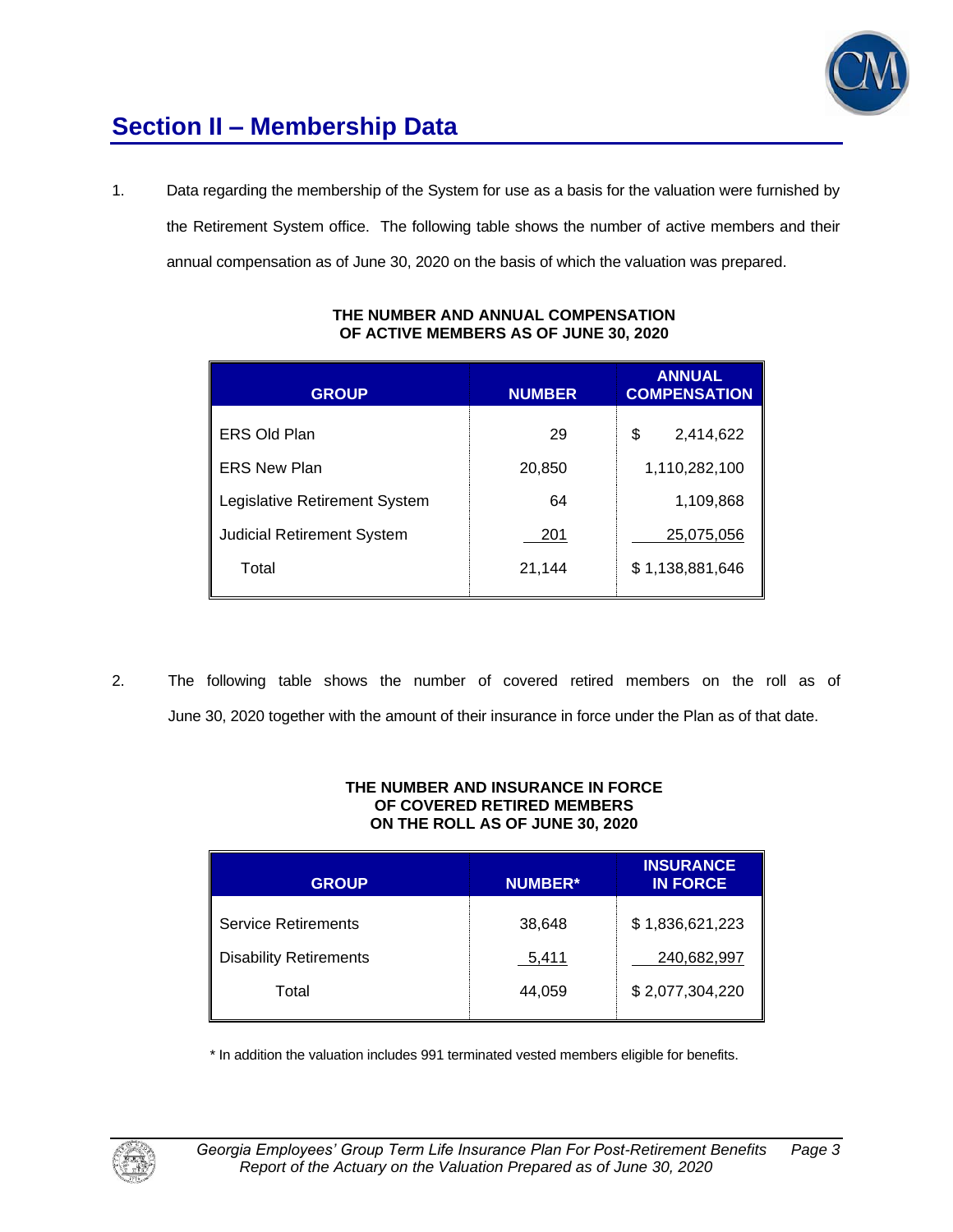

# **Section II – Membership Data**

1. Data regarding the membership of the System for use as a basis for the valuation were furnished by the Retirement System office. The following table shows the number of active members and their annual compensation as of June 30, 2020 on the basis of which the valuation was prepared.

| <b>GROUP</b>                         | <b>NUMBER</b> | <b>ANNUAL</b><br><b>COMPENSATION</b> |
|--------------------------------------|---------------|--------------------------------------|
| ERS Old Plan                         | 29            | 2,414,622<br>\$                      |
| <b>ERS New Plan</b>                  | 20,850        | 1,110,282,100                        |
| <b>Legislative Retirement System</b> | 64            | 1,109,868                            |
| <b>Judicial Retirement System</b>    | 201           | 25,075,056                           |
| Total                                | 21,144        | \$1,138,881,646                      |

### **THE NUMBER AND ANNUAL COMPENSATION OF ACTIVE MEMBERS AS OF JUNE 30, 2020**

2. The following table shows the number of covered retired members on the roll as of June 30, 2020 together with the amount of their insurance in force under the Plan as of that date.

#### **THE NUMBER AND INSURANCE IN FORCE OF COVERED RETIRED MEMBERS ON THE ROLL AS OF JUNE 30, 2020**

| <b>GROUP</b>                  | <b>NUMBER*</b> | <b>INSURANCE</b><br><b>IN FORCE</b> |
|-------------------------------|----------------|-------------------------------------|
| <b>Service Retirements</b>    | 38,648         | \$1,836,621,223                     |
| <b>Disability Retirements</b> | 5,411          | 240,682,997                         |
| Total                         | 44.059         | \$2,077,304,220                     |

\* In addition the valuation includes 991 terminated vested members eligible for benefits.

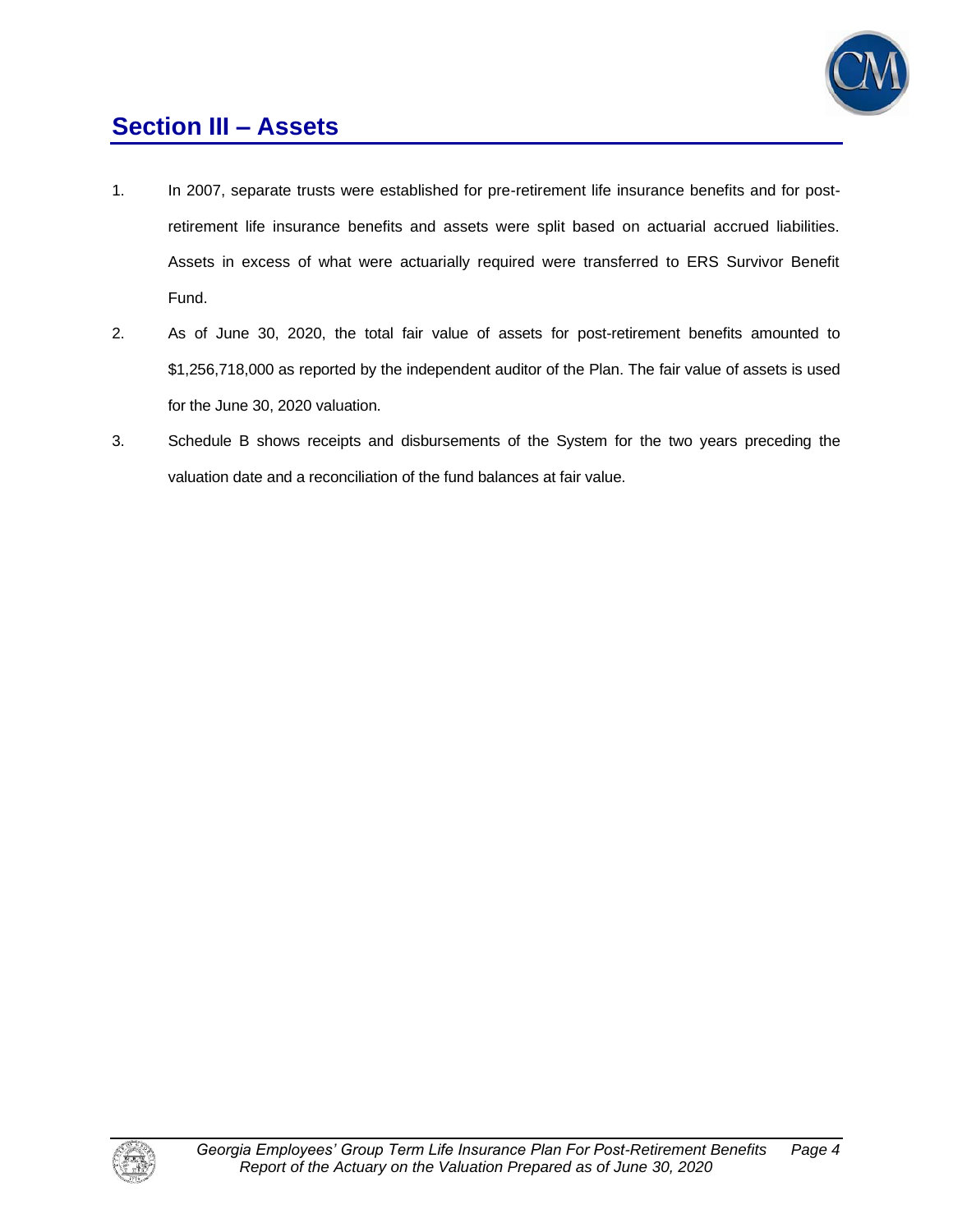

## **Section III – Assets**

- 1. In 2007, separate trusts were established for pre-retirement life insurance benefits and for postretirement life insurance benefits and assets were split based on actuarial accrued liabilities. Assets in excess of what were actuarially required were transferred to ERS Survivor Benefit Fund.
- 2. As of June 30, 2020, the total fair value of assets for post-retirement benefits amounted to \$1,256,718,000 as reported by the independent auditor of the Plan. The fair value of assets is used for the June 30, 2020 valuation.
- 3. Schedule B shows receipts and disbursements of the System for the two years preceding the valuation date and a reconciliation of the fund balances at fair value.

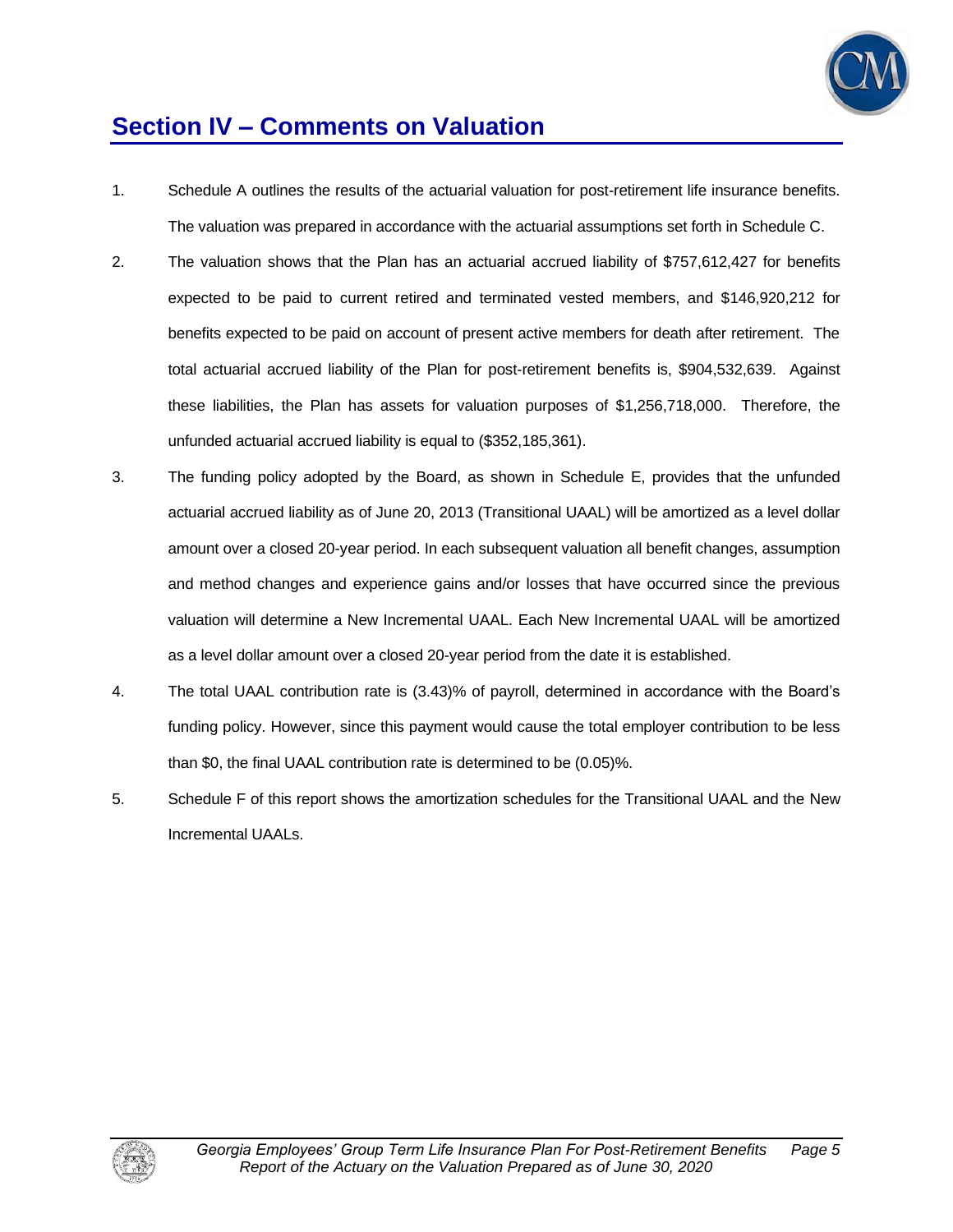

## **Section IV – Comments on Valuation**

- 1. Schedule A outlines the results of the actuarial valuation for post-retirement life insurance benefits. The valuation was prepared in accordance with the actuarial assumptions set forth in Schedule C.
- 2. The valuation shows that the Plan has an actuarial accrued liability of \$757,612,427 for benefits expected to be paid to current retired and terminated vested members, and \$146,920,212 for benefits expected to be paid on account of present active members for death after retirement. The total actuarial accrued liability of the Plan for post-retirement benefits is, \$904,532,639. Against these liabilities, the Plan has assets for valuation purposes of \$1,256,718,000. Therefore, the unfunded actuarial accrued liability is equal to (\$352,185,361).
- 3. The funding policy adopted by the Board, as shown in Schedule E, provides that the unfunded actuarial accrued liability as of June 20, 2013 (Transitional UAAL) will be amortized as a level dollar amount over a closed 20-year period. In each subsequent valuation all benefit changes, assumption and method changes and experience gains and/or losses that have occurred since the previous valuation will determine a New Incremental UAAL. Each New Incremental UAAL will be amortized as a level dollar amount over a closed 20-year period from the date it is established.
- 4. The total UAAL contribution rate is (3.43)% of payroll, determined in accordance with the Board's funding policy. However, since this payment would cause the total employer contribution to be less than \$0, the final UAAL contribution rate is determined to be (0.05)%.
- 5. Schedule F of this report shows the amortization schedules for the Transitional UAAL and the New Incremental UAALs.

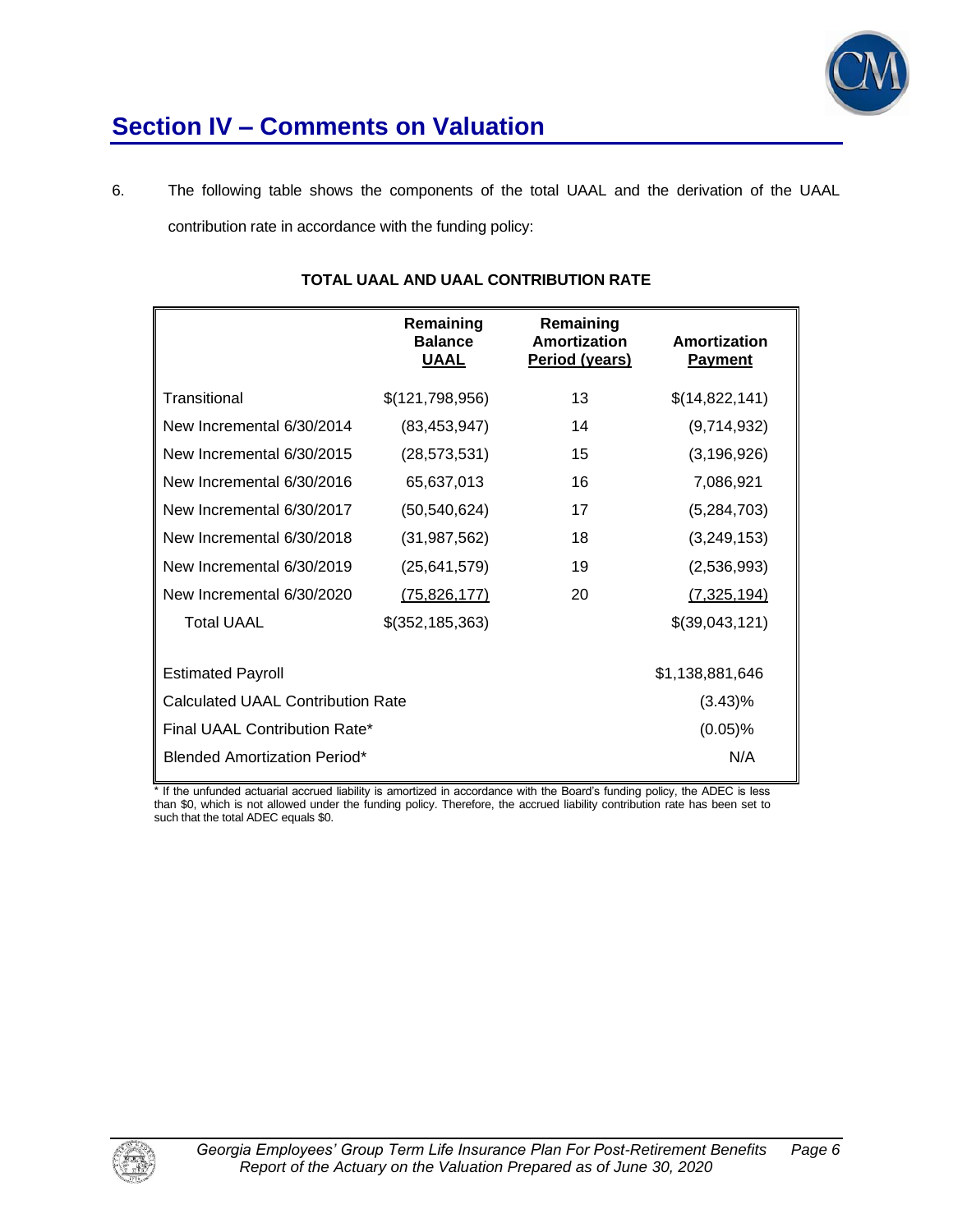

## **Section IV – Comments on Valuation**

6. The following table shows the components of the total UAAL and the derivation of the UAAL contribution rate in accordance with the funding policy:

|                                          | Remaining<br><b>Balance</b><br><u>UAAL</u> | Remaining<br>Amortization<br>Period (years) | Amortization<br><b>Payment</b> |
|------------------------------------------|--------------------------------------------|---------------------------------------------|--------------------------------|
| Transitional                             | \$(121,798,956)                            | 13                                          | \$(14,822,141)                 |
| New Incremental 6/30/2014                | (83, 453, 947)                             | 14                                          | (9,714,932)                    |
| New Incremental 6/30/2015                | (28, 573, 531)                             | 15                                          | (3, 196, 926)                  |
| New Incremental 6/30/2016                | 65,637,013                                 | 16                                          | 7,086,921                      |
| New Incremental 6/30/2017                | (50, 540, 624)                             | 17                                          | (5,284,703)                    |
| New Incremental 6/30/2018                | (31, 987, 562)                             | 18                                          | (3,249,153)                    |
| New Incremental 6/30/2019                | (25,641,579)                               | 19                                          | (2,536,993)                    |
| New Incremental 6/30/2020                | (75, 826, 177)                             | 20                                          | (7, 325, 194)                  |
| <b>Total UAAL</b>                        | \$(352, 185, 363)                          |                                             | \$(39,043,121)                 |
| <b>Estimated Payroll</b>                 |                                            |                                             | \$1,138,881,646                |
| <b>Calculated UAAL Contribution Rate</b> |                                            | $(3.43)\%$                                  |                                |
| Final UAAL Contribution Rate*            |                                            |                                             | $(0.05)\%$                     |
| <b>Blended Amortization Period*</b>      |                                            |                                             | N/A                            |

## **TOTAL UAAL AND UAAL CONTRIBUTION RATE**

\* If the unfunded actuarial accrued liability is amortized in accordance with the Board's funding policy, the ADEC is less than \$0, which is not allowed under the funding policy. Therefore, the accrued liability contribution rate has been set to such that the total ADEC equals \$0.

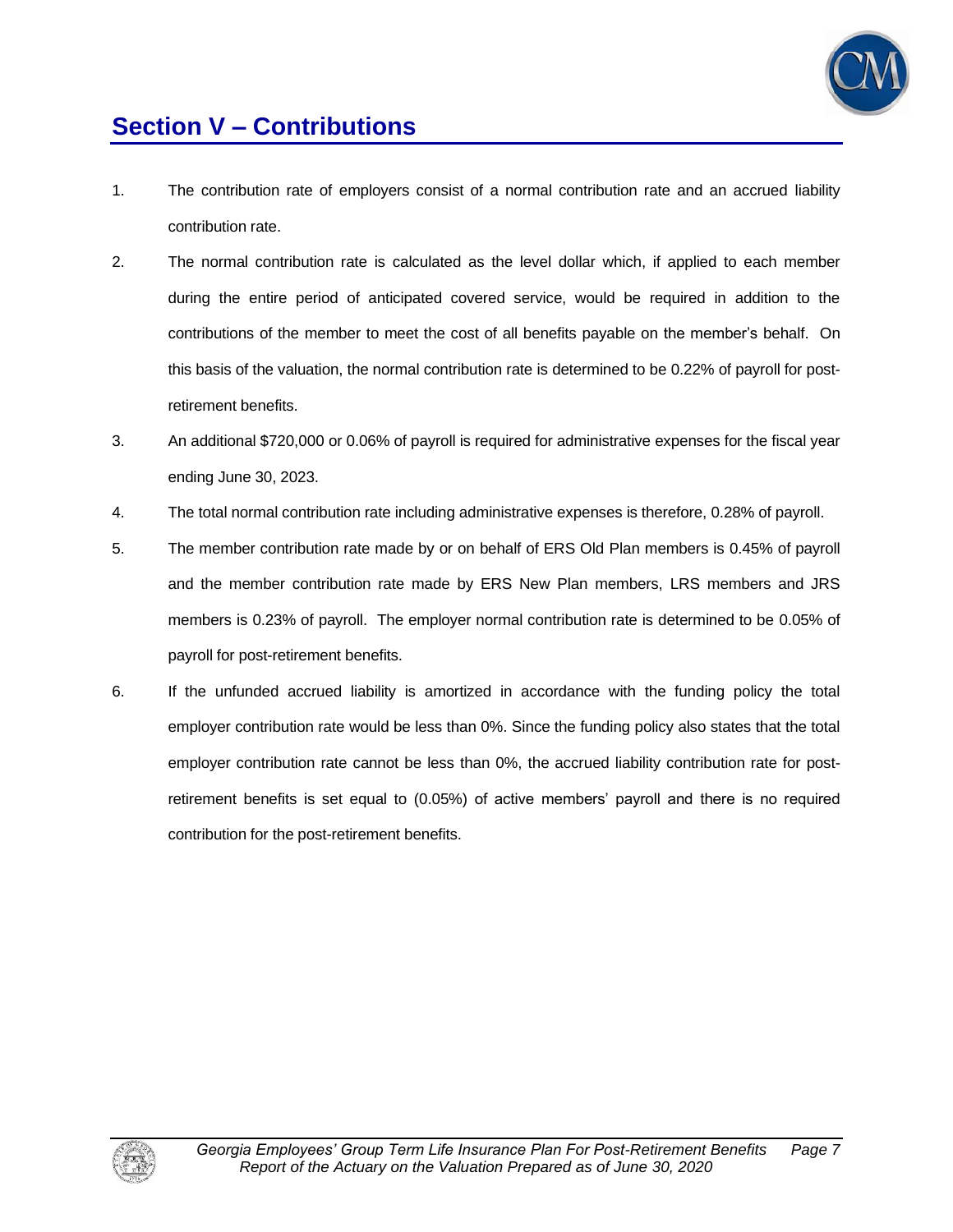

# **Section V – Contributions**

- 1. The contribution rate of employers consist of a normal contribution rate and an accrued liability contribution rate.
- 2. The normal contribution rate is calculated as the level dollar which, if applied to each member during the entire period of anticipated covered service, would be required in addition to the contributions of the member to meet the cost of all benefits payable on the member's behalf. On this basis of the valuation, the normal contribution rate is determined to be 0.22% of payroll for postretirement benefits.
- 3. An additional \$720,000 or 0.06% of payroll is required for administrative expenses for the fiscal year ending June 30, 2023.
- 4. The total normal contribution rate including administrative expenses is therefore, 0.28% of payroll.
- 5. The member contribution rate made by or on behalf of ERS Old Plan members is 0.45% of payroll and the member contribution rate made by ERS New Plan members, LRS members and JRS members is 0.23% of payroll. The employer normal contribution rate is determined to be 0.05% of payroll for post-retirement benefits.
- 6. If the unfunded accrued liability is amortized in accordance with the funding policy the total employer contribution rate would be less than 0%. Since the funding policy also states that the total employer contribution rate cannot be less than 0%, the accrued liability contribution rate for postretirement benefits is set equal to (0.05%) of active members' payroll and there is no required contribution for the post-retirement benefits.

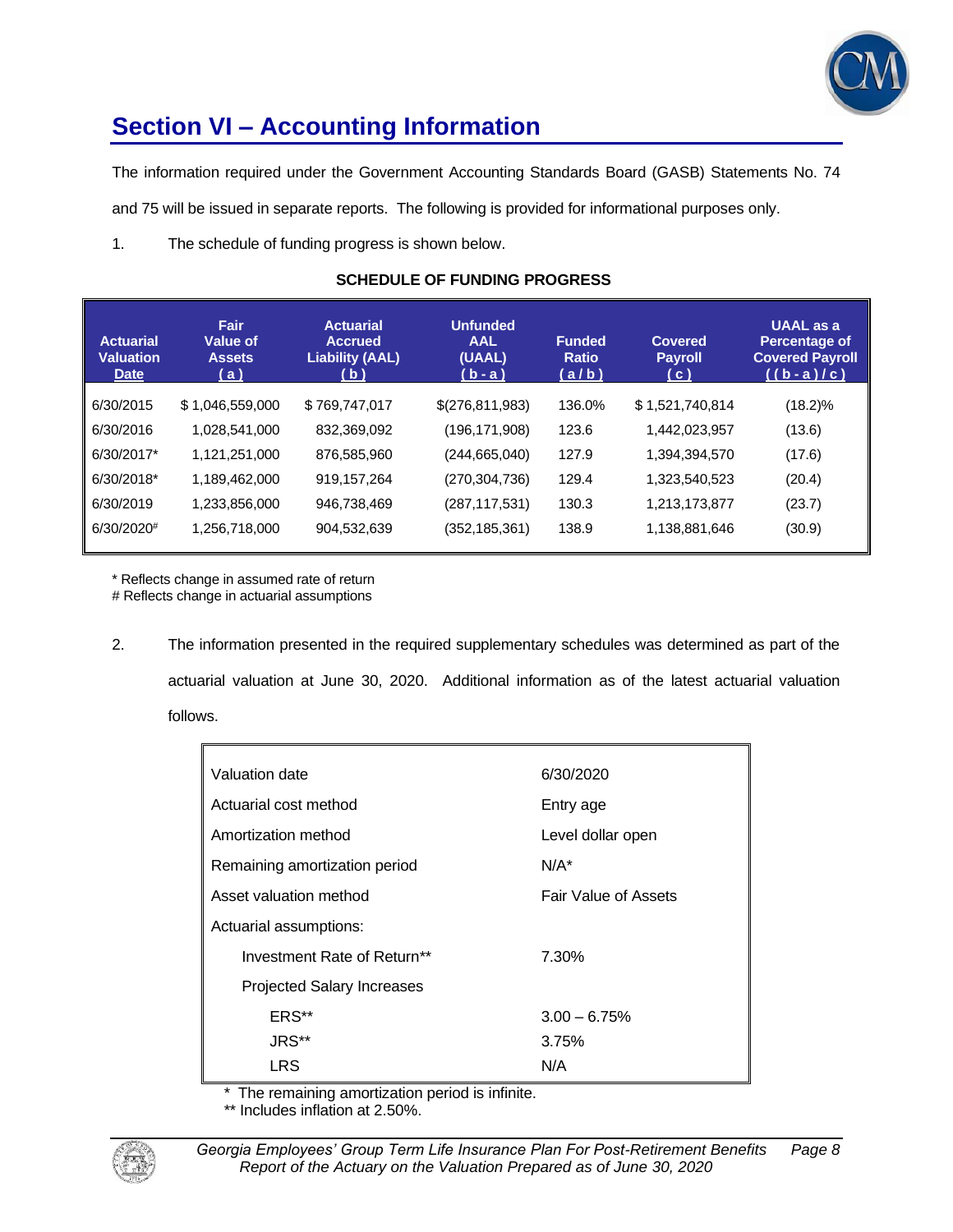

# **Section VI – Accounting Information**

The information required under the Government Accounting Standards Board (GASB) Statements No. 74

and 75 will be issued in separate reports. The following is provided for informational purposes only.

1. The schedule of funding progress is shown below.

| <b>Actuarial</b><br><b>Valuation</b><br><b>Date</b> | Fair<br>Value of<br><b>Assets</b><br>(a) | <b>Actuarial</b><br><b>Accrued</b><br><b>Liability (AAL)</b><br>( b ) | <b>Unfunded</b><br><b>AAL</b><br>(UAAL)<br>$(b - a)$ | <b>Funded</b><br><b>Ratio</b><br>(a/b) | <b>Covered</b><br><b>Payroll</b><br>(c) | <b>UAAL</b> as a<br><b>Percentage of</b><br><b>Covered Payroll</b><br>$((b-a)/c)$ |
|-----------------------------------------------------|------------------------------------------|-----------------------------------------------------------------------|------------------------------------------------------|----------------------------------------|-----------------------------------------|-----------------------------------------------------------------------------------|
| 6/30/2015                                           | \$1,046,559,000                          | \$769,747,017                                                         | \$(276,811,983)                                      | 136.0%                                 | \$1,521,740,814                         | $(18.2)\%$                                                                        |
| 6/30/2016                                           | 1,028,541,000                            | 832,369,092                                                           | (196, 171, 908)                                      | 123.6                                  | 1,442,023,957                           | (13.6)                                                                            |
| 6/30/2017*                                          | 1,121,251,000                            | 876,585,960                                                           | (244, 665, 040)                                      | 127.9                                  | 1,394,394,570                           | (17.6)                                                                            |
| 6/30/2018*                                          | 1,189,462,000                            | 919, 157, 264                                                         | (270, 304, 736)                                      | 129.4                                  | 1,323,540,523                           | (20.4)                                                                            |
| 6/30/2019                                           | 1,233,856,000                            | 946,738,469                                                           | (287, 117, 531)                                      | 130.3                                  | 1,213,173,877                           | (23.7)                                                                            |
| $6/30/2020$ <sup>#</sup>                            | 1,256,718,000                            | 904,532,639                                                           | (352,185,361)                                        | 138.9                                  | 1,138,881,646                           | (30.9)                                                                            |

## **SCHEDULE OF FUNDING PROGRESS**

\* Reflects change in assumed rate of return

# Reflects change in actuarial assumptions

2. The information presented in the required supplementary schedules was determined as part of the actuarial valuation at June 30, 2020. Additional information as of the latest actuarial valuation follows.

| 6/30/2020                   |
|-----------------------------|
| Entry age                   |
| Level dollar open           |
| $N/A^*$                     |
| <b>Fair Value of Assets</b> |
|                             |
| 7.30%                       |
|                             |
| $3.00 - 6.75%$              |
| 3.75%                       |
| N/A                         |
|                             |

\* The remaining amortization period is infinite.

\*\* Includes inflation at 2.50%.

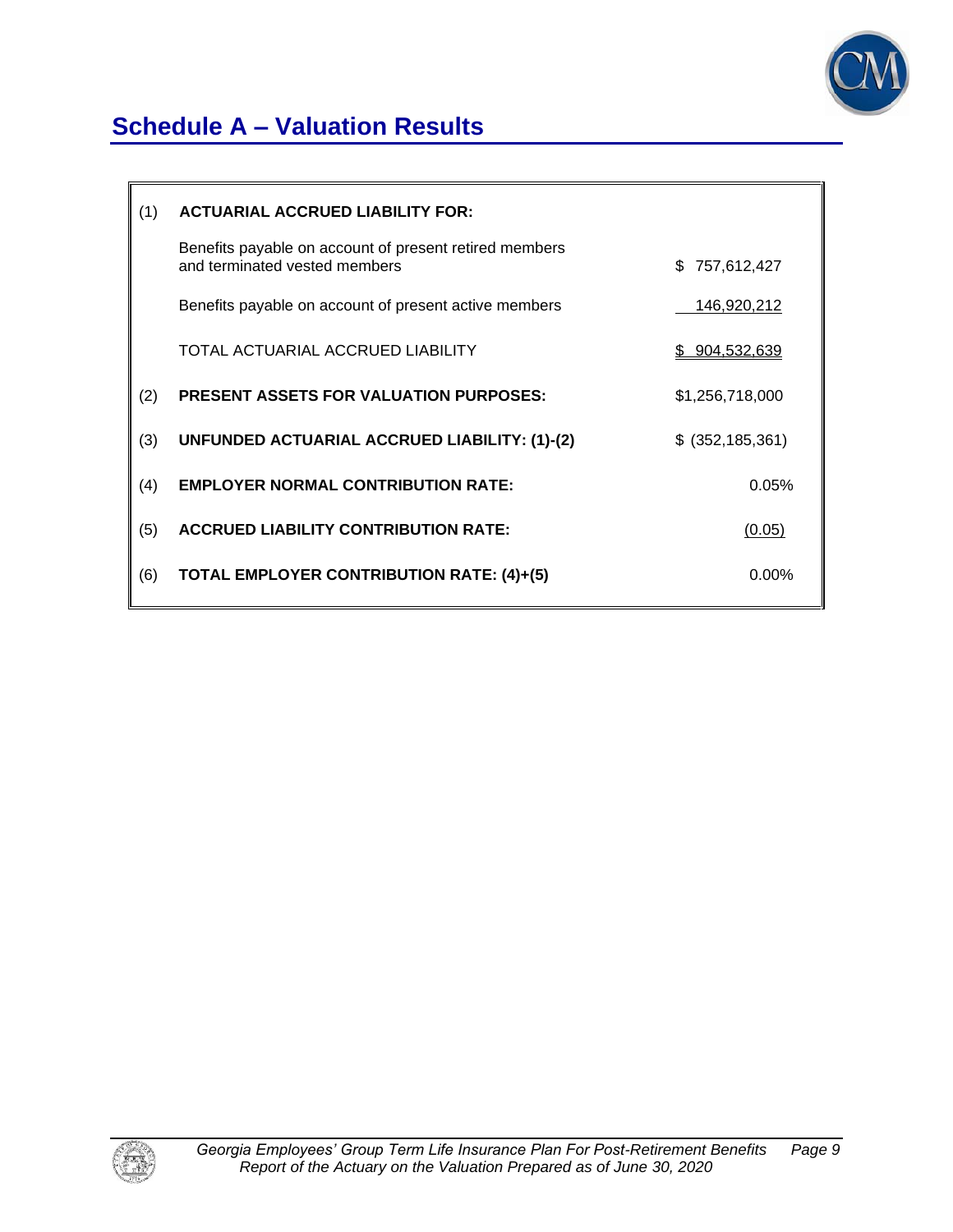

# **Schedule A – Valuation Results**

| (1) | <b>ACTUARIAL ACCRUED LIABILITY FOR:</b>                                                 |                   |
|-----|-----------------------------------------------------------------------------------------|-------------------|
|     | Benefits payable on account of present retired members<br>and terminated vested members | \$<br>757,612,427 |
|     | Benefits payable on account of present active members                                   | 146,920,212       |
|     | TOTAL ACTUARIAL ACCRUED LIABILITY                                                       | \$904,532,639     |
| (2) | <b>PRESENT ASSETS FOR VALUATION PURPOSES:</b>                                           | \$1,256,718,000   |
| (3) | UNFUNDED ACTUARIAL ACCRUED LIABILITY: (1)-(2)                                           | $$$ (352,185,361) |
| (4) | <b>EMPLOYER NORMAL CONTRIBUTION RATE:</b>                                               | 0.05%             |
| (5) | <b>ACCRUED LIABILITY CONTRIBUTION RATE:</b>                                             | (0.05)            |
| (6) | TOTAL EMPLOYER CONTRIBUTION RATE: (4)+(5)                                               | $0.00\%$          |
|     |                                                                                         |                   |

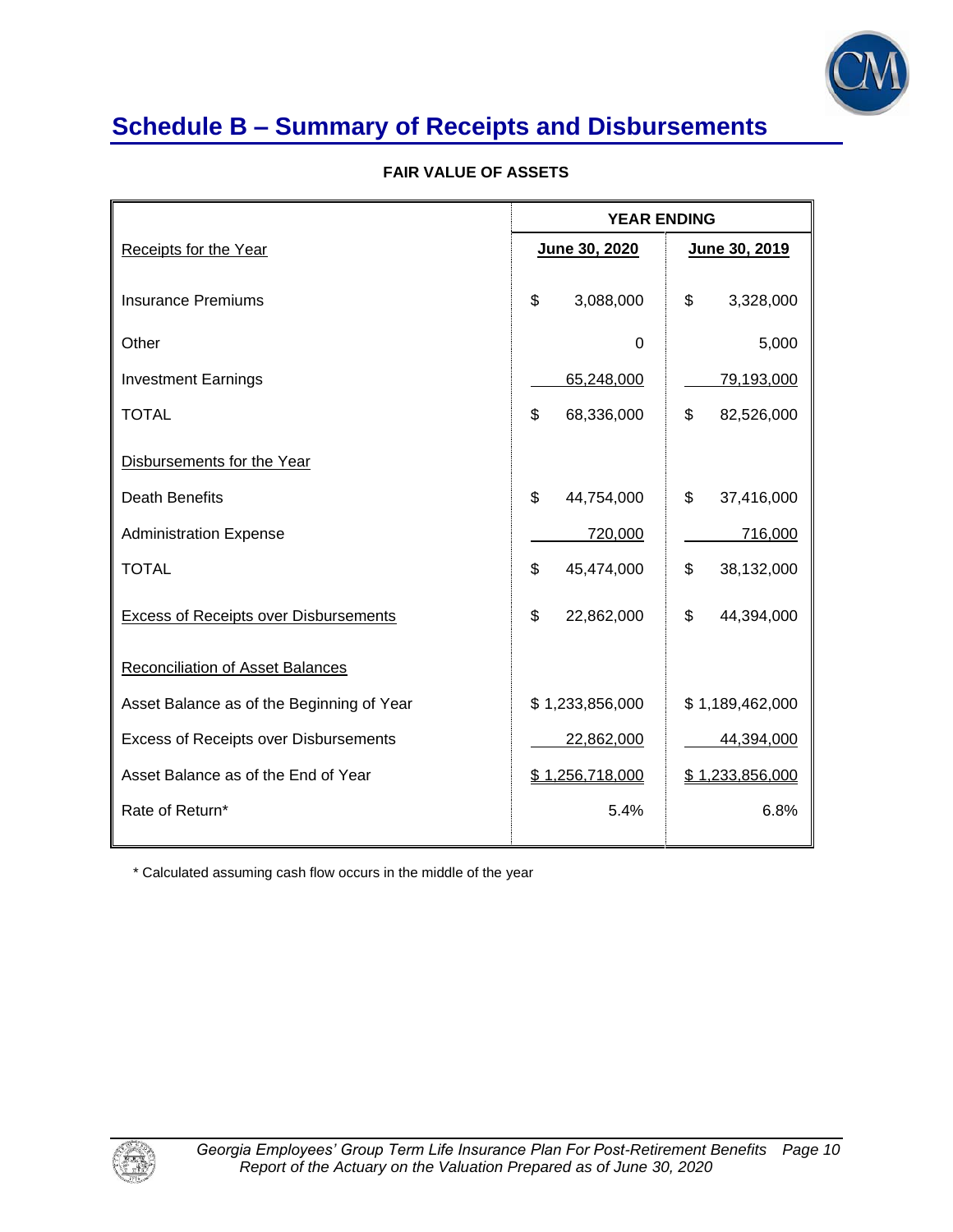

# **Schedule B – Summary of Receipts and Disbursements**

|  |  |  |  | <b>FAIR VALUE OF ASSETS</b> |
|--|--|--|--|-----------------------------|
|--|--|--|--|-----------------------------|

|                                              | <b>YEAR ENDING</b> |                   |  |
|----------------------------------------------|--------------------|-------------------|--|
| <b>Receipts for the Year</b>                 | June 30, 2020      | June 30, 2019     |  |
| <b>Insurance Premiums</b>                    | \$<br>3,088,000    | \$<br>3,328,000   |  |
| Other                                        | 0                  | 5,000             |  |
| <b>Investment Earnings</b>                   | 65,248,000         | <u>79,193,000</u> |  |
| <b>TOTAL</b>                                 | \$<br>68,336,000   | \$<br>82,526,000  |  |
| Disbursements for the Year                   |                    |                   |  |
| <b>Death Benefits</b>                        | \$<br>44,754,000   | \$<br>37,416,000  |  |
| <b>Administration Expense</b>                | 720,000            | 716,000           |  |
| <b>TOTAL</b>                                 | \$<br>45,474,000   | \$<br>38,132,000  |  |
| Excess of Receipts over Disbursements        | \$<br>22,862,000   | \$<br>44,394,000  |  |
| <b>Reconciliation of Asset Balances</b>      |                    |                   |  |
| Asset Balance as of the Beginning of Year    | \$1,233,856,000    | \$1,189,462,000   |  |
| <b>Excess of Receipts over Disbursements</b> | 22,862,000         | 44,394,000        |  |
| Asset Balance as of the End of Year          | \$1,256,718,000    | \$1,233,856,000   |  |
| Rate of Return*                              | 5.4%               | 6.8%              |  |

\* Calculated assuming cash flow occurs in the middle of the year

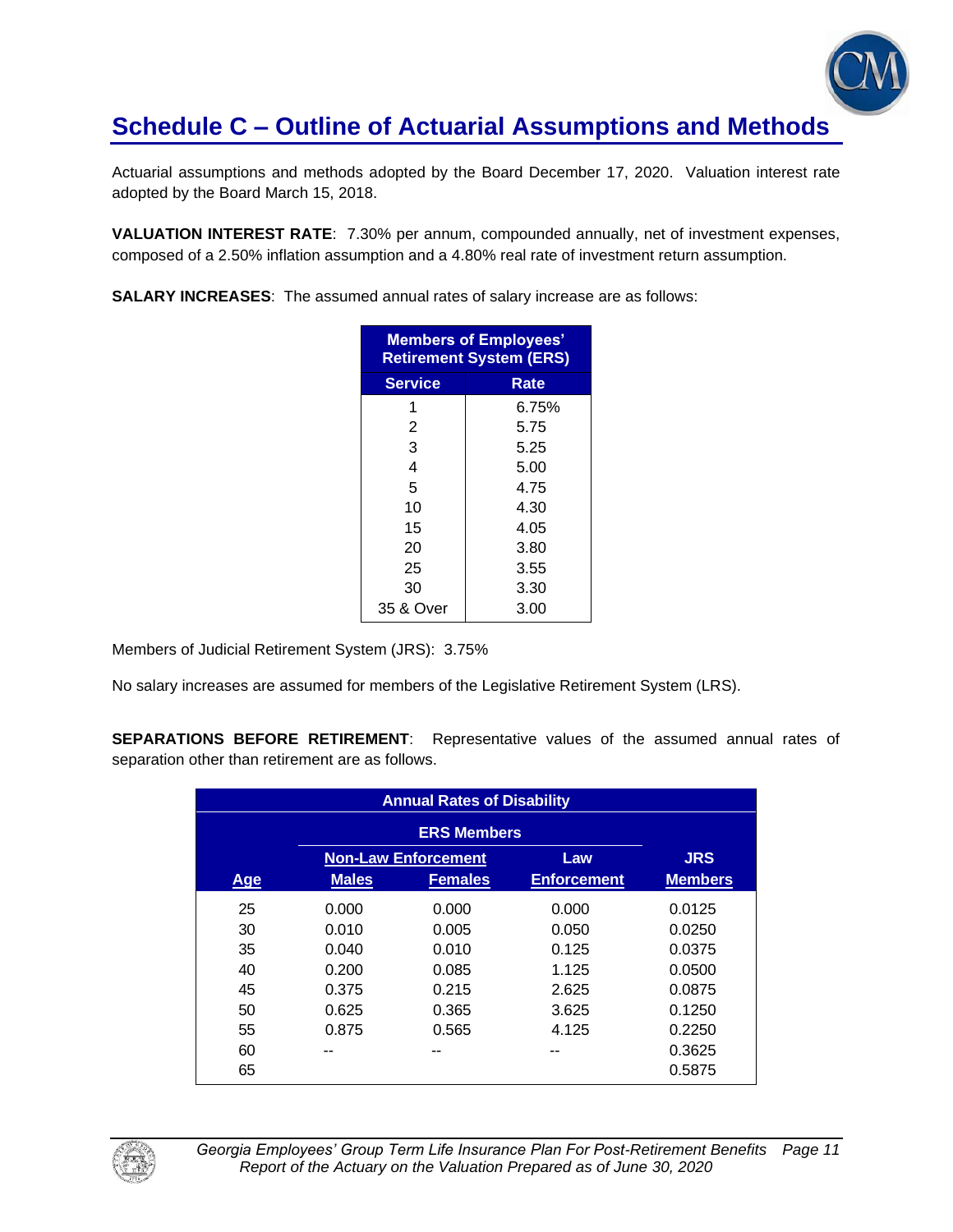

Actuarial assumptions and methods adopted by the Board December 17, 2020. Valuation interest rate adopted by the Board March 15, 2018.

**VALUATION INTEREST RATE**: 7.30% per annum, compounded annually, net of investment expenses, composed of a 2.50% inflation assumption and a 4.80% real rate of investment return assumption.

**SALARY INCREASES**: The assumed annual rates of salary increase are as follows:

| <b>Members of Employees'</b><br><b>Retirement System (ERS)</b> |       |  |  |
|----------------------------------------------------------------|-------|--|--|
| <b>Service</b>                                                 | Rate  |  |  |
| 1                                                              | 6.75% |  |  |
| 2                                                              | 5.75  |  |  |
| 3                                                              | 5.25  |  |  |
| 4                                                              | 5.00  |  |  |
| 5                                                              | 4.75  |  |  |
| 10                                                             | 4.30  |  |  |
| 15                                                             | 4.05  |  |  |
| 20                                                             | 3.80  |  |  |
| 25                                                             | 3.55  |  |  |
| 30                                                             | 3.30  |  |  |
| 35 & Over                                                      | 3.00  |  |  |

Members of Judicial Retirement System (JRS): 3.75%

No salary increases are assumed for members of the Legislative Retirement System (LRS).

**SEPARATIONS BEFORE RETIREMENT**: Representative values of the assumed annual rates of separation other than retirement are as follows.

| <b>Annual Rates of Disability</b> |              |                            |                    |                |
|-----------------------------------|--------------|----------------------------|--------------------|----------------|
|                                   |              | <b>ERS Members</b>         |                    |                |
|                                   |              | <b>Non-Law Enforcement</b> | Law                | <b>JRS</b>     |
| Age                               | <b>Males</b> | <b>Females</b>             | <b>Enforcement</b> | <b>Members</b> |
| 25                                | 0.000        | 0.000                      | 0.000              | 0.0125         |
| 30                                | 0.010        | 0.005                      | 0.050              | 0.0250         |
| 35                                | 0.040        | 0.010                      | 0.125              | 0.0375         |
| 40                                | 0.200        | 0.085                      | 1.125              | 0.0500         |
| 45                                | 0.375        | 0.215                      | 2.625              | 0.0875         |
| 50                                | 0.625        | 0.365                      | 3.625              | 0.1250         |
| 55                                | 0.875        | 0.565                      | 4.125              | 0.2250         |
| 60                                |              |                            |                    | 0.3625         |
| 65                                |              |                            |                    | 0.5875         |

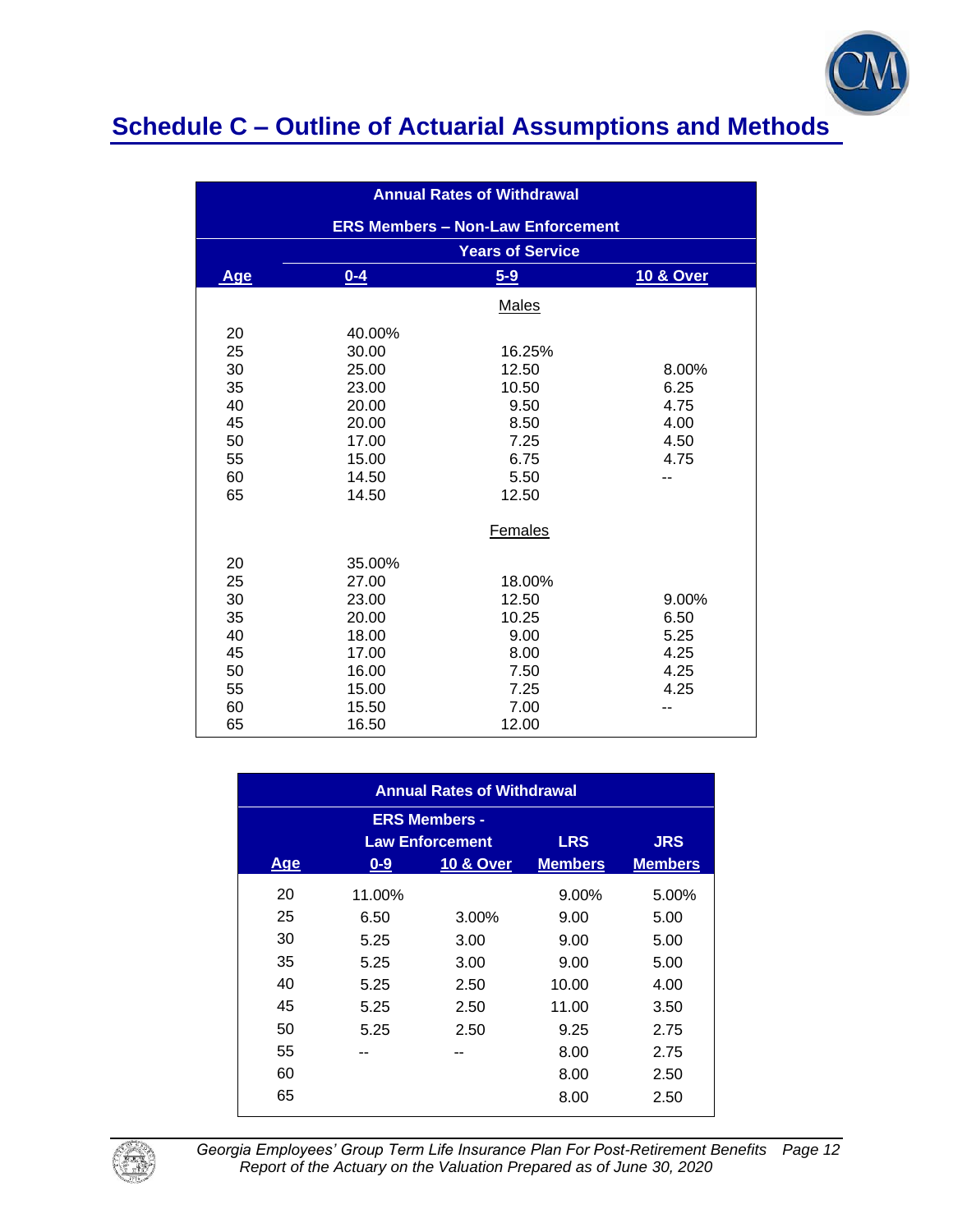

| <b>Annual Rates of Withdrawal</b> |         |                                          |                      |  |
|-----------------------------------|---------|------------------------------------------|----------------------|--|
|                                   |         | <b>ERS Members - Non-Law Enforcement</b> |                      |  |
|                                   |         | <b>Years of Service</b>                  |                      |  |
| <b>Age</b>                        | $0 - 4$ | $5-9$                                    | <b>10 &amp; Over</b> |  |
|                                   |         | Males                                    |                      |  |
| 20                                | 40.00%  |                                          |                      |  |
| 25                                | 30.00   | 16.25%                                   |                      |  |
| 30                                | 25.00   | 12.50                                    | 8.00%                |  |
| 35                                | 23.00   | 10.50                                    | 6.25                 |  |
| 40                                | 20.00   | 9.50                                     | 4.75                 |  |
| 45                                | 20.00   | 8.50                                     | 4.00                 |  |
| 50                                | 17.00   | 7.25                                     | 4.50                 |  |
| 55                                | 15.00   | 6.75                                     | 4.75                 |  |
| 60                                | 14.50   | 5.50                                     | --                   |  |
| 65                                | 14.50   | 12.50                                    |                      |  |
|                                   |         | Females                                  |                      |  |
| 20                                | 35.00%  |                                          |                      |  |
| 25                                | 27.00   | 18.00%                                   |                      |  |
| 30                                | 23.00   | 12.50                                    | $9.00\%$             |  |
| 35                                | 20.00   | 10.25                                    | 6.50                 |  |
| 40                                | 18.00   | 9.00                                     | 5.25                 |  |
| 45                                | 17.00   | 8.00                                     | 4.25                 |  |
| 50                                | 16.00   | 7.50                                     | 4.25                 |  |
| 55                                | 15.00   | 7.25                                     | 4.25                 |  |
| 60                                | 15.50   | 7.00                                     |                      |  |
| 65                                | 16.50   | 12.00                                    |                      |  |

| <b>Annual Rates of Withdrawal</b>                                          |        |                      |                |                |
|----------------------------------------------------------------------------|--------|----------------------|----------------|----------------|
| <b>ERS Members -</b><br><b>Law Enforcement</b><br><b>LRS</b><br><b>JRS</b> |        |                      |                |                |
| <b>Age</b>                                                                 | $0-9$  | <b>10 &amp; Over</b> | <b>Members</b> | <b>Members</b> |
| 20                                                                         | 11.00% |                      | $9.00\%$       | 5.00%          |
| 25                                                                         | 6.50   | 3.00%                | 9.00           | 5.00           |
| 30                                                                         | 5.25   | 3.00                 | 9.00           | 5.00           |
| 35                                                                         | 5.25   | 3.00                 | 9.00           | 5.00           |
| 40                                                                         | 5.25   | 2.50                 | 10.00          | 4.00           |
| 45                                                                         | 5.25   | 2.50                 | 11.00          | 3.50           |
| 50                                                                         | 5.25   | 2.50                 | 9.25           | 2.75           |
| 55                                                                         |        | --                   | 8.00           | 2.75           |
| 60                                                                         |        |                      | 8.00           | 2.50           |
| 65                                                                         |        |                      | 8.00           | 2.50           |



*Georgia Employees' Group Term Life Insurance Plan For Post-Retirement Benefits Page 12 Report of the Actuary on the Valuation Prepared as of June 30, 2020*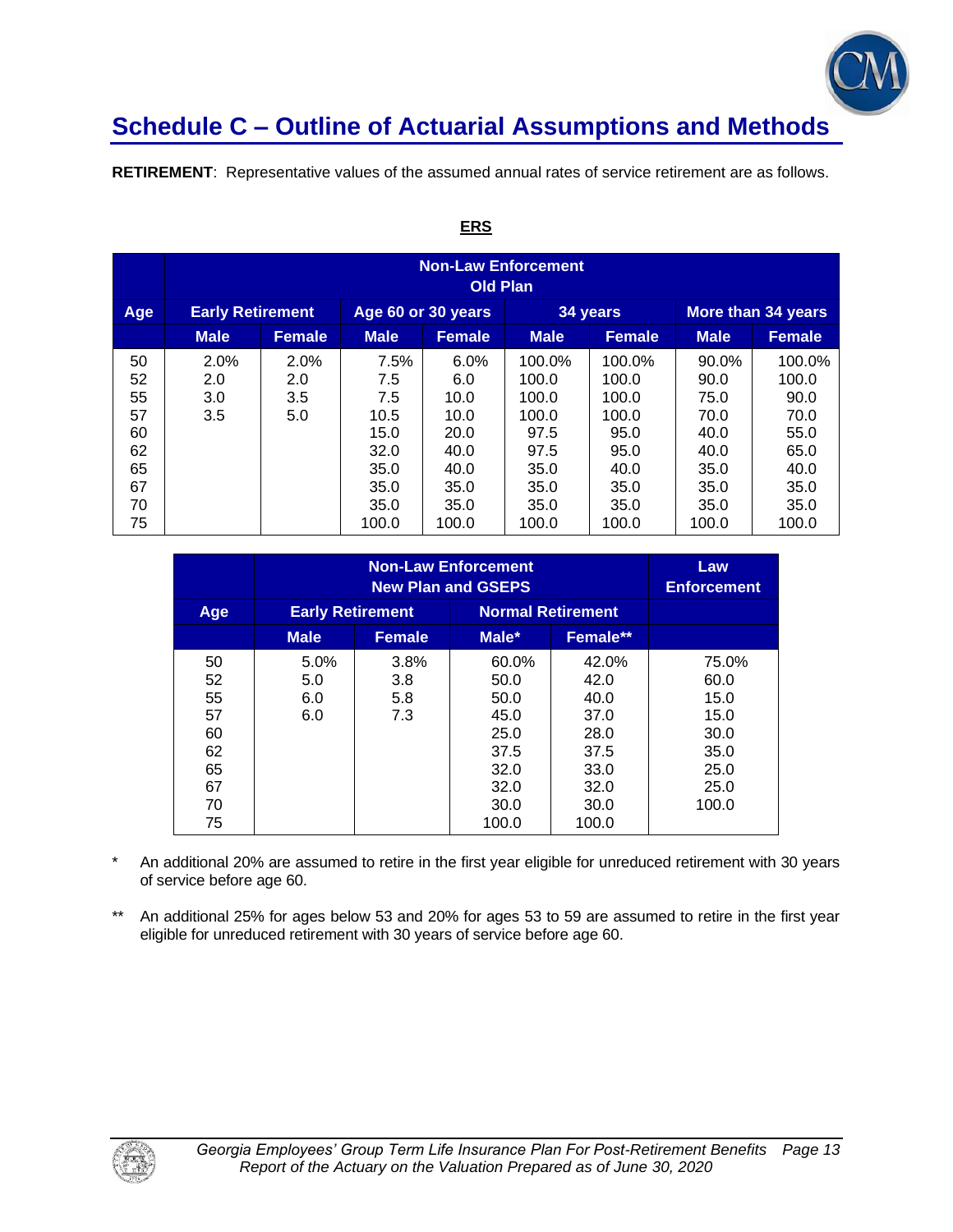

**RETIREMENT**: Representative values of the assumed annual rates of service retirement are as follows.

|                                                    | <b>Non-Law Enforcement</b><br><b>Old Plan</b> |                           |                                                                    |                                                                     |                                                                           |                                                                           |                                                                       |                                                                         |
|----------------------------------------------------|-----------------------------------------------|---------------------------|--------------------------------------------------------------------|---------------------------------------------------------------------|---------------------------------------------------------------------------|---------------------------------------------------------------------------|-----------------------------------------------------------------------|-------------------------------------------------------------------------|
| Age                                                | <b>Early Retirement</b>                       |                           | Age 60 or 30 years                                                 |                                                                     |                                                                           | 34 years                                                                  |                                                                       | More than 34 years                                                      |
|                                                    | <b>Male</b>                                   | Female                    | <b>Male</b>                                                        | <b>Female</b>                                                       | <b>Male</b>                                                               | Female                                                                    | <b>Male</b>                                                           | <b>Female</b>                                                           |
| 50<br>52<br>55<br>57<br>60<br>62<br>65<br>67<br>70 | 2.0%<br>2.0<br>3.0<br>3.5                     | 2.0%<br>2.0<br>3.5<br>5.0 | 7.5%<br>7.5<br>7.5<br>10.5<br>15.0<br>32.0<br>35.0<br>35.0<br>35.0 | 6.0%<br>6.0<br>10.0<br>10.0<br>20.0<br>40.0<br>40.0<br>35.0<br>35.0 | 100.0%<br>100.0<br>100.0<br>100.0<br>97.5<br>97.5<br>35.0<br>35.0<br>35.0 | 100.0%<br>100.0<br>100.0<br>100.0<br>95.0<br>95.0<br>40.0<br>35.0<br>35.0 | 90.0%<br>90.0<br>75.0<br>70.0<br>40.0<br>40.0<br>35.0<br>35.0<br>35.0 | 100.0%<br>100.0<br>90.0<br>70.0<br>55.0<br>65.0<br>40.0<br>35.0<br>35.0 |
| 75                                                 |                                               |                           | 100.0                                                              | 100.0                                                               | 100.0                                                                     | 100.0                                                                     | 100.0                                                                 | 100.0                                                                   |

## **ERS**

|                                                          | <b>Non-Law Enforcement</b><br><b>New Plan and GSEPS</b> |                           |                                                                                |                                                                                | Law<br><b>Enforcement</b>                                              |
|----------------------------------------------------------|---------------------------------------------------------|---------------------------|--------------------------------------------------------------------------------|--------------------------------------------------------------------------------|------------------------------------------------------------------------|
| Age                                                      | <b>Early Retirement</b>                                 |                           | <b>Normal Retirement</b>                                                       |                                                                                |                                                                        |
|                                                          | <b>Male</b>                                             | <b>Female</b>             | Male*                                                                          | Female**                                                                       |                                                                        |
| 50<br>52<br>55<br>57<br>60<br>62<br>65<br>67<br>70<br>75 | $5.0\%$<br>5.0<br>6.0<br>6.0                            | 3.8%<br>3.8<br>5.8<br>7.3 | 60.0%<br>50.0<br>50.0<br>45.0<br>25.0<br>37.5<br>32.0<br>32.0<br>30.0<br>100.0 | 42.0%<br>42.0<br>40.0<br>37.0<br>28.0<br>37.5<br>33.0<br>32.0<br>30.0<br>100.0 | 75.0%<br>60.0<br>15.0<br>15.0<br>30.0<br>35.0<br>25.0<br>25.0<br>100.0 |

An additional 20% are assumed to retire in the first year eligible for unreduced retirement with 30 years of service before age 60.

\*\* An additional 25% for ages below 53 and 20% for ages 53 to 59 are assumed to retire in the first year eligible for unreduced retirement with 30 years of service before age 60.

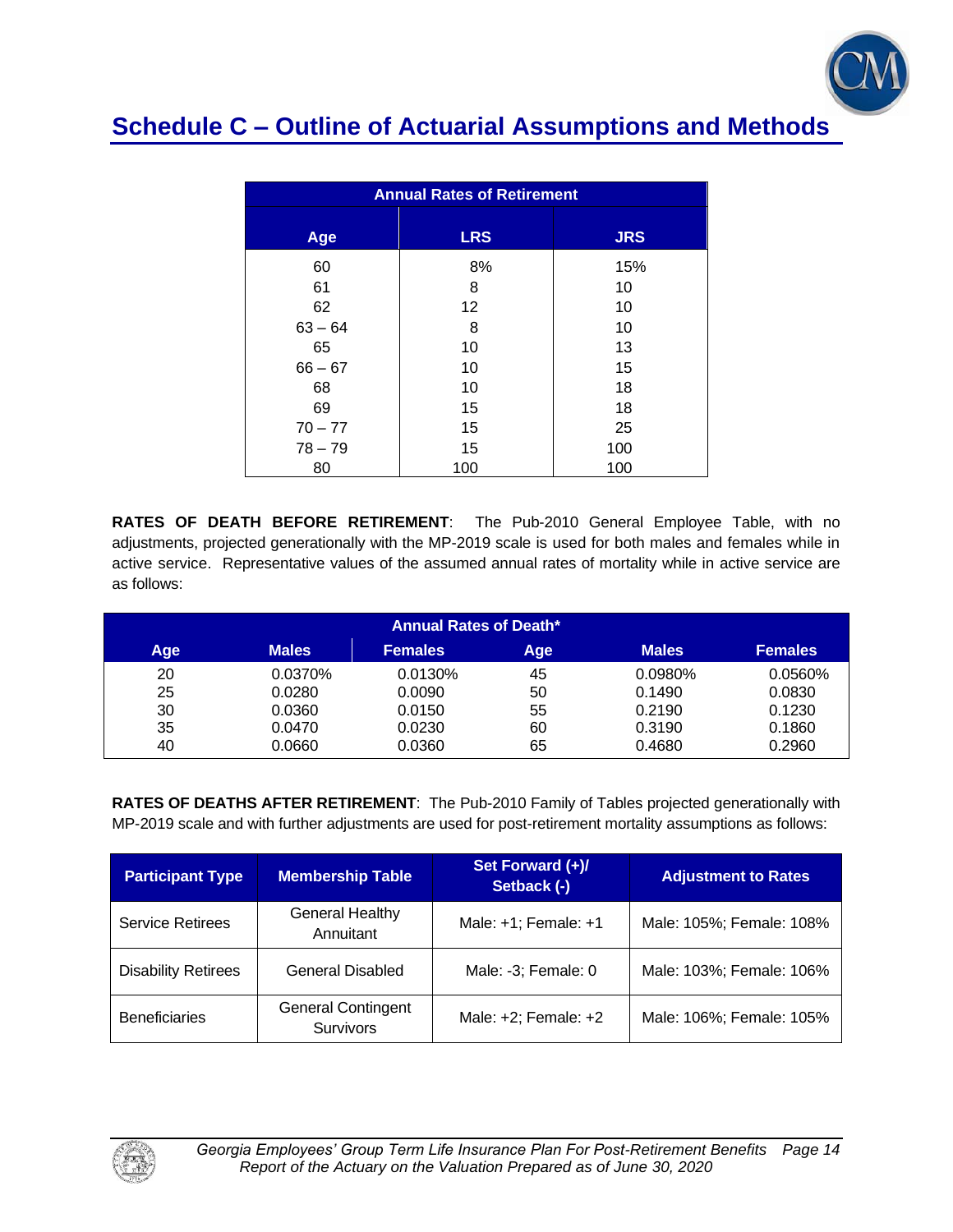

| <b>Annual Rates of Retirement</b> |            |            |  |  |
|-----------------------------------|------------|------------|--|--|
| Age                               | <b>LRS</b> | <b>JRS</b> |  |  |
| 60                                | 8%         | 15%        |  |  |
| 61                                | 8          | 10         |  |  |
| 62                                | 12         | 10         |  |  |
| $63 - 64$                         | 8          | 10         |  |  |
| 65                                | 10         | 13         |  |  |
| $66 - 67$                         | 10         | 15         |  |  |
| 68                                | 10         | 18         |  |  |
| 69                                | 15         | 18         |  |  |
| $70 - 77$                         | 15         | 25         |  |  |
| $78 - 79$                         | 15         | 100        |  |  |
| 80                                | 100        | 100        |  |  |

**RATES OF DEATH BEFORE RETIREMENT**: The Pub-2010 General Employee Table, with no adjustments, projected generationally with the MP-2019 scale is used for both males and females while in active service. Representative values of the assumed annual rates of mortality while in active service are as follows:

| <b>Annual Rates of Death*</b> |              |                |     |              |                |
|-------------------------------|--------------|----------------|-----|--------------|----------------|
| Age                           | <b>Males</b> | <b>Females</b> | Age | <b>Males</b> | <b>Females</b> |
| 20                            | 0.0370%      | 0.0130%        | 45  | 0.0980%      | 0.0560%        |
| 25                            | 0.0280       | 0.0090         | 50  | 0.1490       | 0.0830         |
| 30                            | 0.0360       | 0.0150         | 55  | 0.2190       | 0.1230         |
| 35                            | 0.0470       | 0.0230         | 60  | 0.3190       | 0.1860         |
| 40                            | 0.0660       | 0.0360         | 65  | 0.4680       | 0.2960         |

**RATES OF DEATHS AFTER RETIREMENT**: The Pub-2010 Family of Tables projected generationally with MP-2019 scale and with further adjustments are used for post-retirement mortality assumptions as follows:

| <b>Participant Type</b>    | <b>Membership Table</b>                       | Set Forward (+)/<br>Setback (-) | <b>Adjustment to Rates</b> |
|----------------------------|-----------------------------------------------|---------------------------------|----------------------------|
| <b>Service Retirees</b>    | <b>General Healthy</b><br>Annuitant           | Male: +1; Female: +1            | Male: 105%; Female: 108%   |
| <b>Disability Retirees</b> | <b>General Disabled</b>                       | Male: -3; Female: 0             | Male: 103%; Female: 106%   |
| <b>Beneficiaries</b>       | <b>General Contingent</b><br><b>Survivors</b> | Male: +2; Female: +2            | Male: 106%; Female: 105%   |

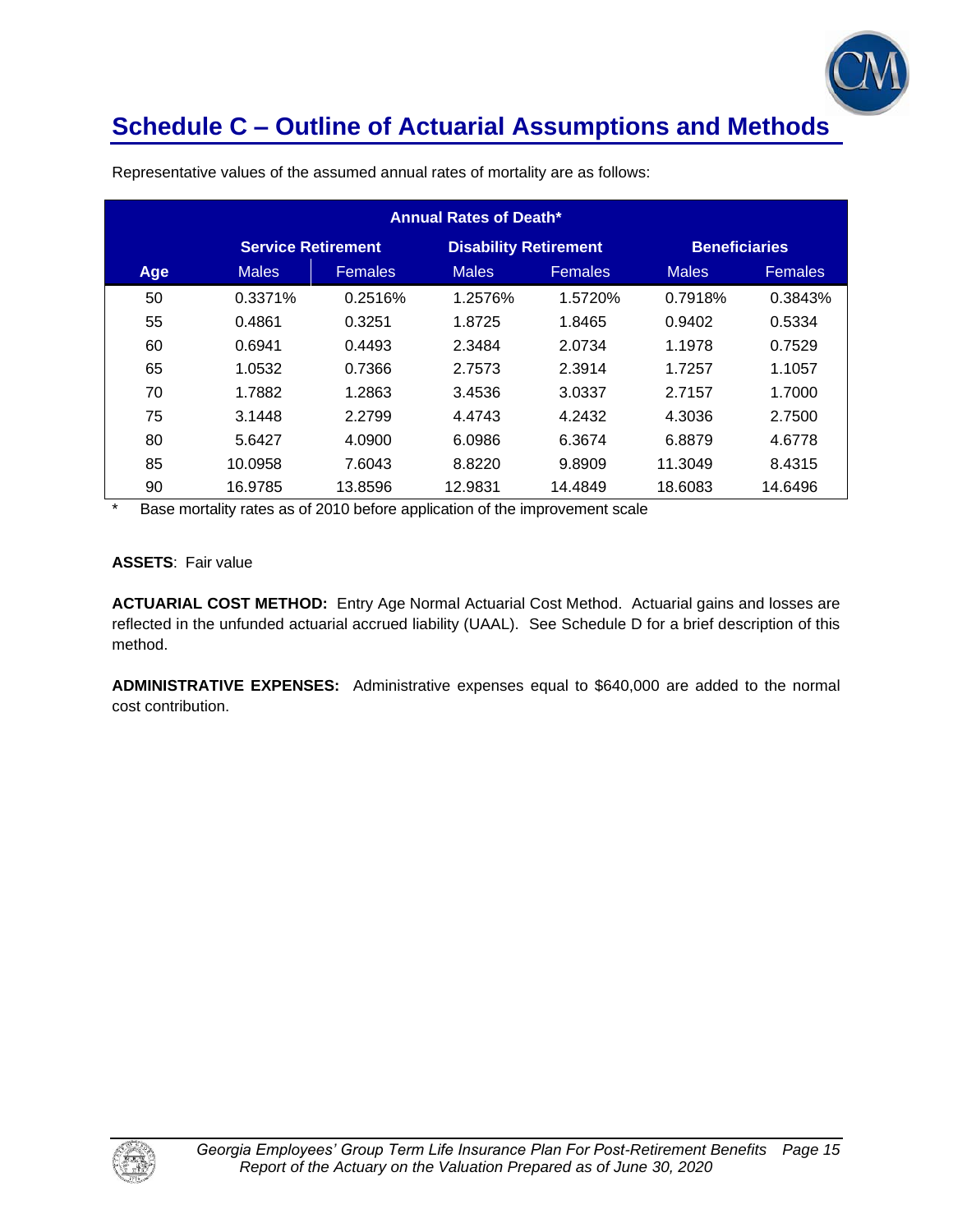

| <b>Annual Rates of Death*</b> |                           |                |                              |                |                      |                |
|-------------------------------|---------------------------|----------------|------------------------------|----------------|----------------------|----------------|
|                               | <b>Service Retirement</b> |                | <b>Disability Retirement</b> |                | <b>Beneficiaries</b> |                |
| Age                           | <b>Males</b>              | <b>Females</b> | <b>Males</b>                 | <b>Females</b> | <b>Males</b>         | <b>Females</b> |
| 50                            | 0.3371%                   | 0.2516%        | 1.2576%                      | 1.5720%        | 0.7918%              | 0.3843%        |
| 55                            | 0.4861                    | 0.3251         | 1.8725                       | 1.8465         | 0.9402               | 0.5334         |
| 60                            | 0.6941                    | 0.4493         | 2.3484                       | 2.0734         | 1.1978               | 0.7529         |
| 65                            | 1.0532                    | 0.7366         | 2.7573                       | 2.3914         | 1.7257               | 1.1057         |
| 70                            | 1.7882                    | 1.2863         | 3.4536                       | 3.0337         | 2.7157               | 1.7000         |
| 75                            | 3.1448                    | 2.2799         | 4.4743                       | 4.2432         | 4.3036               | 2.7500         |
| 80                            | 5.6427                    | 4.0900         | 6.0986                       | 6.3674         | 6.8879               | 4.6778         |
| 85                            | 10.0958                   | 7.6043         | 8.8220                       | 9.8909         | 11.3049              | 8.4315         |
| 90                            | 16.9785                   | 13.8596        | 12.9831                      | 14.4849        | 18.6083              | 14.6496        |

Representative values of the assumed annual rates of mortality are as follows:

\* Base mortality rates as of 2010 before application of the improvement scale

### **ASSETS**: Fair value

**ACTUARIAL COST METHOD:** Entry Age Normal Actuarial Cost Method. Actuarial gains and losses are reflected in the unfunded actuarial accrued liability (UAAL). See Schedule D for a brief description of this method.

**ADMINISTRATIVE EXPENSES:** Administrative expenses equal to \$640,000 are added to the normal cost contribution.

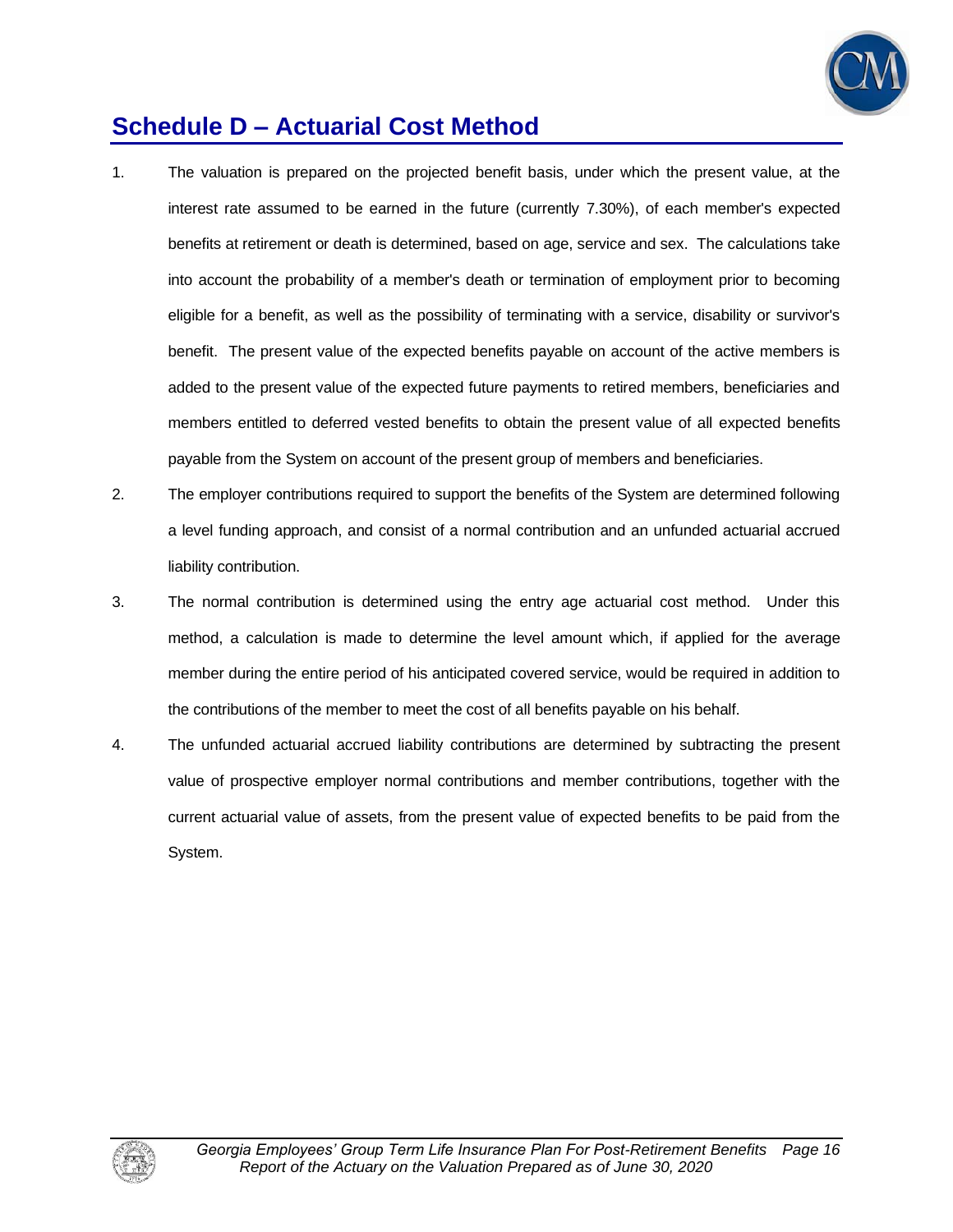

# **Schedule D – Actuarial Cost Method**

- 1. The valuation is prepared on the projected benefit basis, under which the present value, at the interest rate assumed to be earned in the future (currently 7.30%), of each member's expected benefits at retirement or death is determined, based on age, service and sex. The calculations take into account the probability of a member's death or termination of employment prior to becoming eligible for a benefit, as well as the possibility of terminating with a service, disability or survivor's benefit. The present value of the expected benefits payable on account of the active members is added to the present value of the expected future payments to retired members, beneficiaries and members entitled to deferred vested benefits to obtain the present value of all expected benefits payable from the System on account of the present group of members and beneficiaries.
- 2. The employer contributions required to support the benefits of the System are determined following a level funding approach, and consist of a normal contribution and an unfunded actuarial accrued liability contribution.
- 3. The normal contribution is determined using the entry age actuarial cost method. Under this method, a calculation is made to determine the level amount which, if applied for the average member during the entire period of his anticipated covered service, would be required in addition to the contributions of the member to meet the cost of all benefits payable on his behalf.
- 4. The unfunded actuarial accrued liability contributions are determined by subtracting the present value of prospective employer normal contributions and member contributions, together with the current actuarial value of assets, from the present value of expected benefits to be paid from the System.

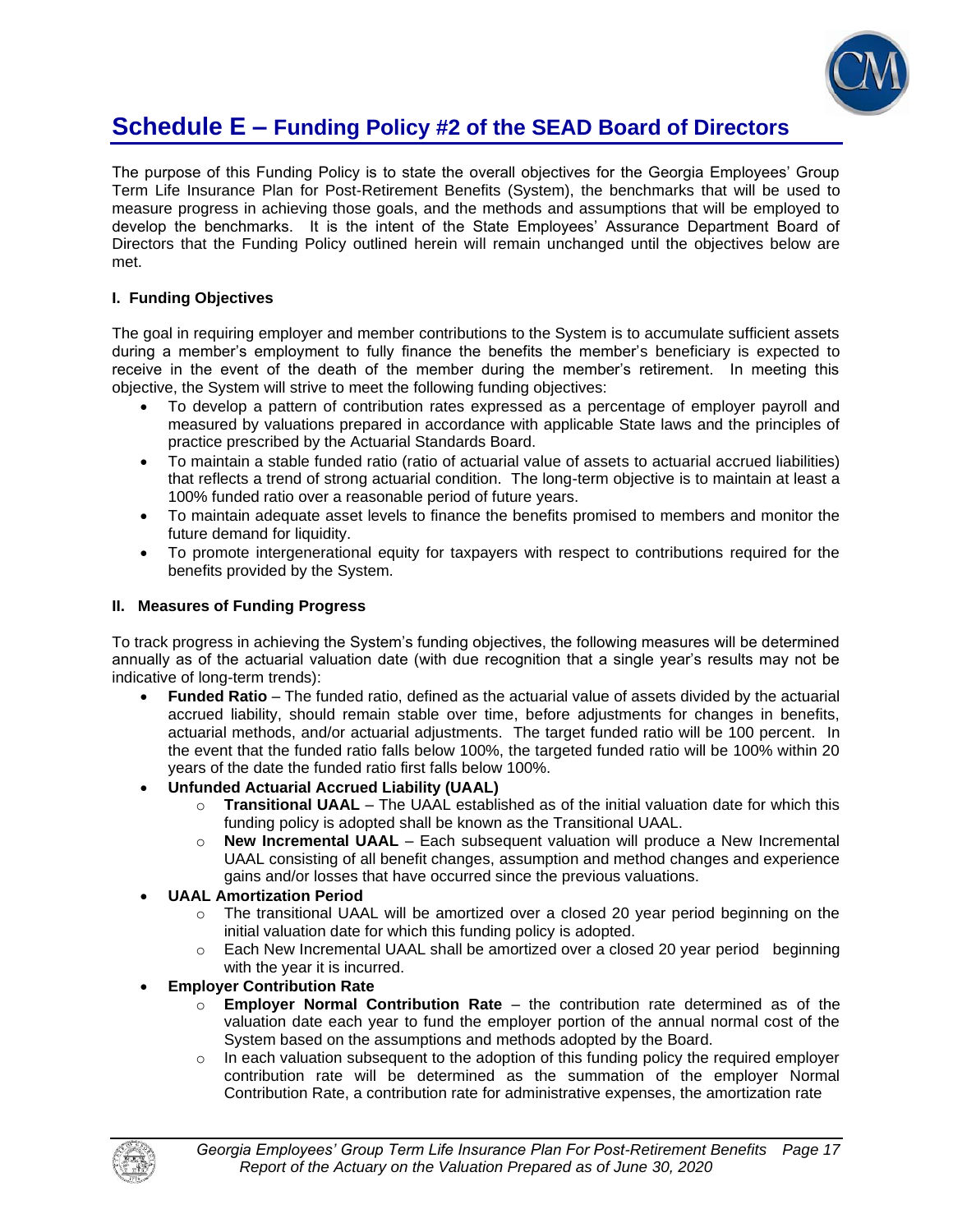

## **Schedule E – Funding Policy #2 of the SEAD Board of Directors**

The purpose of this Funding Policy is to state the overall objectives for the Georgia Employees' Group Term Life Insurance Plan for Post-Retirement Benefits (System), the benchmarks that will be used to measure progress in achieving those goals, and the methods and assumptions that will be employed to develop the benchmarks. It is the intent of the State Employees' Assurance Department Board of Directors that the Funding Policy outlined herein will remain unchanged until the objectives below are met.

## **I. Funding Objectives**

The goal in requiring employer and member contributions to the System is to accumulate sufficient assets during a member's employment to fully finance the benefits the member's beneficiary is expected to receive in the event of the death of the member during the member's retirement. In meeting this objective, the System will strive to meet the following funding objectives:

- To develop a pattern of contribution rates expressed as a percentage of employer payroll and measured by valuations prepared in accordance with applicable State laws and the principles of practice prescribed by the Actuarial Standards Board.
- To maintain a stable funded ratio (ratio of actuarial value of assets to actuarial accrued liabilities) that reflects a trend of strong actuarial condition. The long-term objective is to maintain at least a 100% funded ratio over a reasonable period of future years.
- To maintain adequate asset levels to finance the benefits promised to members and monitor the future demand for liquidity.
- To promote intergenerational equity for taxpayers with respect to contributions required for the benefits provided by the System.

## **II. Measures of Funding Progress**

To track progress in achieving the System's funding objectives, the following measures will be determined annually as of the actuarial valuation date (with due recognition that a single year's results may not be indicative of long-term trends):

- **Funded Ratio** The funded ratio, defined as the actuarial value of assets divided by the actuarial accrued liability, should remain stable over time, before adjustments for changes in benefits, actuarial methods, and/or actuarial adjustments. The target funded ratio will be 100 percent. In the event that the funded ratio falls below 100%, the targeted funded ratio will be 100% within 20 years of the date the funded ratio first falls below 100%.
- **Unfunded Actuarial Accrued Liability (UAAL)**
	- o **Transitional UAAL** The UAAL established as of the initial valuation date for which this funding policy is adopted shall be known as the Transitional UAAL.
	- o **New Incremental UAAL** Each subsequent valuation will produce a New Incremental UAAL consisting of all benefit changes, assumption and method changes and experience gains and/or losses that have occurred since the previous valuations.
- **UAAL Amortization Period** 
	- $\circ$  The transitional UAAL will be amortized over a closed 20 year period beginning on the initial valuation date for which this funding policy is adopted.
	- $\circ$  Each New Incremental UAAL shall be amortized over a closed 20 year period beginning with the year it is incurred.
- **Employer Contribution Rate** 
	- o **Employer Normal Contribution Rate**  the contribution rate determined as of the valuation date each year to fund the employer portion of the annual normal cost of the System based on the assumptions and methods adopted by the Board.
	- $\circ$  In each valuation subsequent to the adoption of this funding policy the required employer contribution rate will be determined as the summation of the employer Normal Contribution Rate, a contribution rate for administrative expenses, the amortization rate

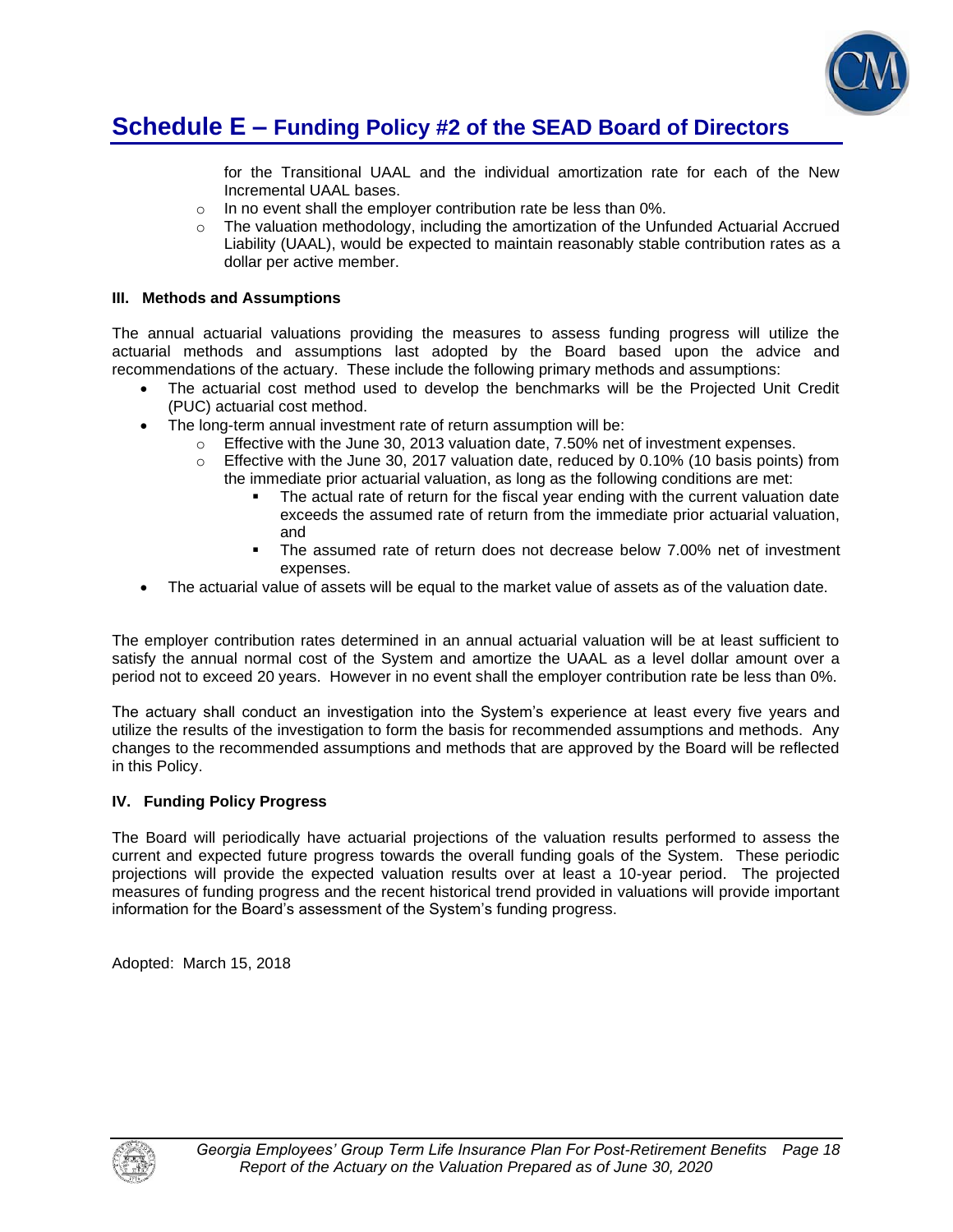

## **Schedule E – Funding Policy #2 of the SEAD Board of Directors**

for the Transitional UAAL and the individual amortization rate for each of the New Incremental UAAL bases.

- o In no event shall the employer contribution rate be less than 0%.
- $\circ$  The valuation methodology, including the amortization of the Unfunded Actuarial Accrued Liability (UAAL), would be expected to maintain reasonably stable contribution rates as a dollar per active member.

### **III. Methods and Assumptions**

The annual actuarial valuations providing the measures to assess funding progress will utilize the actuarial methods and assumptions last adopted by the Board based upon the advice and recommendations of the actuary. These include the following primary methods and assumptions:

- The actuarial cost method used to develop the benchmarks will be the Projected Unit Credit (PUC) actuarial cost method.
- The long-term annual investment rate of return assumption will be:
	- $\circ$  Effective with the June 30, 2013 valuation date, 7.50% net of investment expenses.
	- o Effective with the June 30, 2017 valuation date, reduced by 0.10% (10 basis points) from the immediate prior actuarial valuation, as long as the following conditions are met:
		- The actual rate of return for the fiscal year ending with the current valuation date exceeds the assumed rate of return from the immediate prior actuarial valuation, and
		- The assumed rate of return does not decrease below 7.00% net of investment expenses.
- The actuarial value of assets will be equal to the market value of assets as of the valuation date.

The employer contribution rates determined in an annual actuarial valuation will be at least sufficient to satisfy the annual normal cost of the System and amortize the UAAL as a level dollar amount over a period not to exceed 20 years. However in no event shall the employer contribution rate be less than 0%.

The actuary shall conduct an investigation into the System's experience at least every five years and utilize the results of the investigation to form the basis for recommended assumptions and methods. Any changes to the recommended assumptions and methods that are approved by the Board will be reflected in this Policy.

### **IV. Funding Policy Progress**

The Board will periodically have actuarial projections of the valuation results performed to assess the current and expected future progress towards the overall funding goals of the System. These periodic projections will provide the expected valuation results over at least a 10-year period. The projected measures of funding progress and the recent historical trend provided in valuations will provide important information for the Board's assessment of the System's funding progress.

Adopted: March 15, 2018

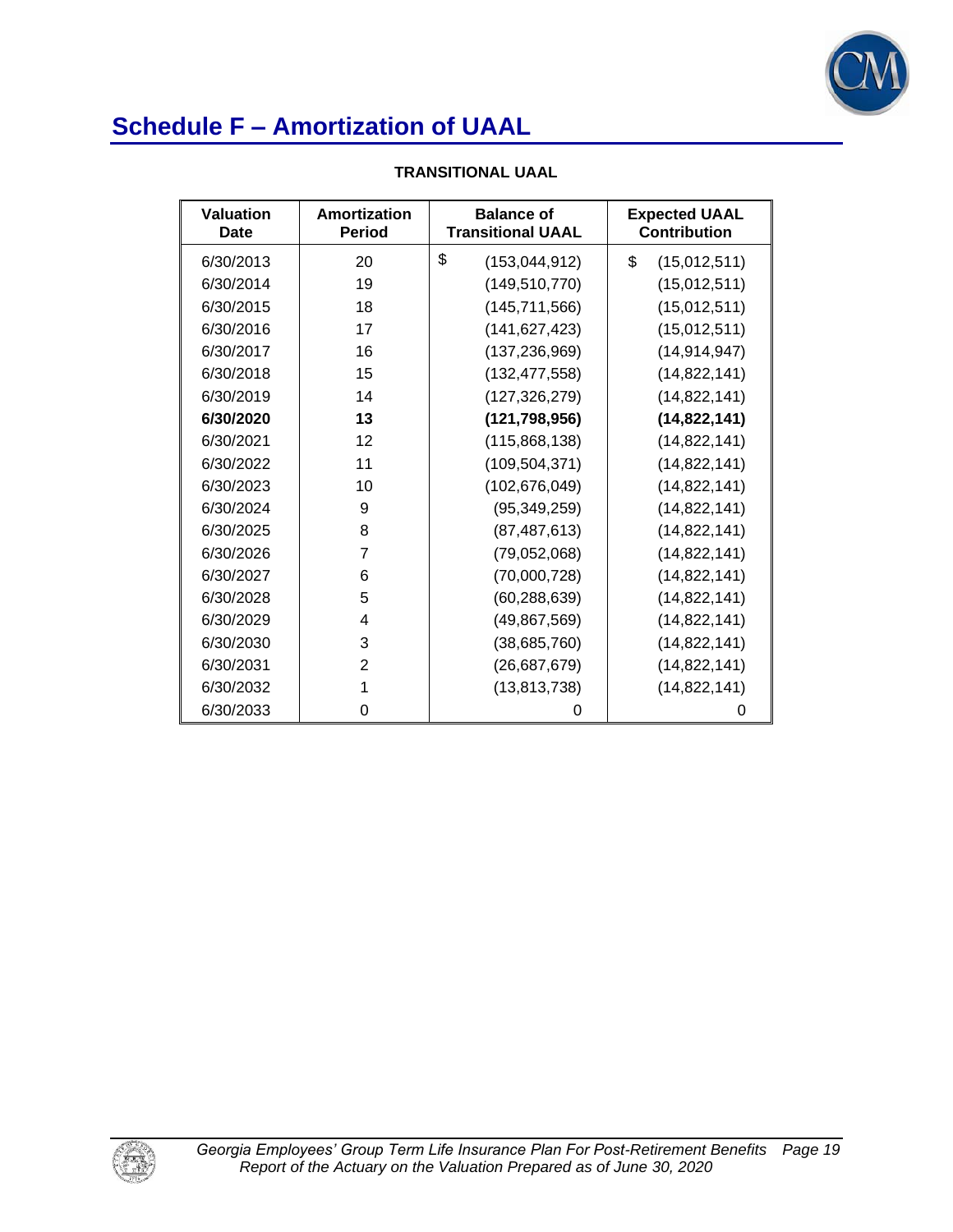

| Valuation<br>Date | Amortization<br><b>Period</b> | <b>Balance of</b><br><b>Transitional UAAL</b> | <b>Expected UAAL</b><br><b>Contribution</b> |
|-------------------|-------------------------------|-----------------------------------------------|---------------------------------------------|
| 6/30/2013         | 20                            | \$<br>(153, 044, 912)                         | \$<br>(15,012,511)                          |
| 6/30/2014         | 19                            | (149, 510, 770)                               | (15,012,511)                                |
| 6/30/2015         | 18                            | (145, 711, 566)                               | (15,012,511)                                |
| 6/30/2016         | 17                            | (141, 627, 423)                               | (15,012,511)                                |
| 6/30/2017         | 16                            | (137, 236, 969)                               | (14, 914, 947)                              |
| 6/30/2018         | 15                            | (132, 477, 558)                               | (14, 822, 141)                              |
| 6/30/2019         | 14                            | (127, 326, 279)                               | (14, 822, 141)                              |
| 6/30/2020         | 13                            | (121, 798, 956)                               | (14, 822, 141)                              |
| 6/30/2021         | 12                            | (115,868,138)                                 | (14, 822, 141)                              |
| 6/30/2022         | 11                            | (109, 504, 371)                               | (14, 822, 141)                              |
| 6/30/2023         | 10                            | (102, 676, 049)                               | (14, 822, 141)                              |
| 6/30/2024         | 9                             | (95, 349, 259)                                | (14, 822, 141)                              |
| 6/30/2025         | 8                             | (87, 487, 613)                                | (14, 822, 141)                              |
| 6/30/2026         | 7                             | (79,052,068)                                  | (14, 822, 141)                              |
| 6/30/2027         | 6                             | (70,000,728)                                  | (14, 822, 141)                              |
| 6/30/2028         | 5                             | (60, 288, 639)                                | (14, 822, 141)                              |
| 6/30/2029         | 4                             | (49, 867, 569)                                | (14, 822, 141)                              |
| 6/30/2030         | 3                             | (38, 685, 760)                                | (14,822,141)                                |
| 6/30/2031         | 2                             | (26, 687, 679)                                | (14, 822, 141)                              |
| 6/30/2032         | 1                             | (13, 813, 738)                                | (14, 822, 141)                              |
| 6/30/2033         | 0                             | O                                             | 0                                           |

## **TRANSITIONAL UAAL**

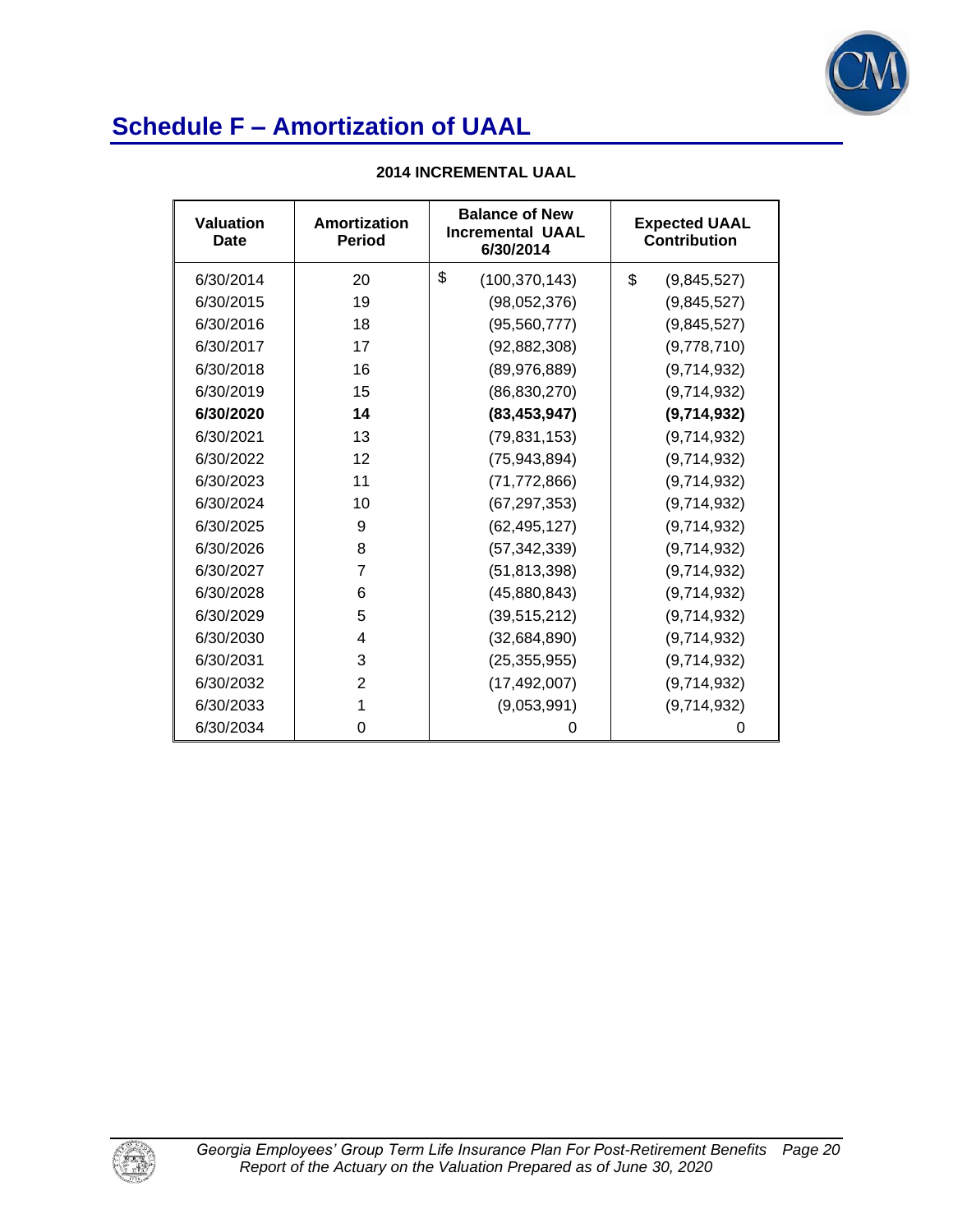

| <b>2014 INCREMENTAL UAAL</b> |  |
|------------------------------|--|
|------------------------------|--|

| Valuation<br>Date | Amortization<br><b>Period</b> | <b>Balance of New</b><br><b>Incremental UAAL</b><br>6/30/2014 | <b>Expected UAAL</b><br><b>Contribution</b> |
|-------------------|-------------------------------|---------------------------------------------------------------|---------------------------------------------|
| 6/30/2014         | 20                            | \$<br>(100, 370, 143)                                         | \$<br>(9,845,527)                           |
| 6/30/2015         | 19                            | (98,052,376)                                                  | (9,845,527)                                 |
| 6/30/2016         | 18                            | (95, 560, 777)                                                | (9,845,527)                                 |
| 6/30/2017         | 17                            | (92, 882, 308)                                                | (9,778,710)                                 |
| 6/30/2018         | 16                            | (89, 976, 889)                                                | (9,714,932)                                 |
| 6/30/2019         | 15                            | (86, 830, 270)                                                | (9,714,932)                                 |
| 6/30/2020         | 14                            | (83, 453, 947)                                                | (9,714,932)                                 |
| 6/30/2021         | 13                            | (79, 831, 153)                                                | (9,714,932)                                 |
| 6/30/2022         | 12                            | (75, 943, 894)                                                | (9,714,932)                                 |
| 6/30/2023         | 11                            | (71, 772, 866)                                                | (9,714,932)                                 |
| 6/30/2024         | 10                            | (67, 297, 353)                                                | (9,714,932)                                 |
| 6/30/2025         | 9                             | (62, 495, 127)                                                | (9,714,932)                                 |
| 6/30/2026         | 8                             | (57, 342, 339)                                                | (9,714,932)                                 |
| 6/30/2027         | 7                             | (51, 813, 398)                                                | (9,714,932)                                 |
| 6/30/2028         | 6                             | (45,880,843)                                                  | (9,714,932)                                 |
| 6/30/2029         | 5                             | (39, 515, 212)                                                | (9,714,932)                                 |
| 6/30/2030         | 4                             | (32,684,890)                                                  | (9,714,932)                                 |
| 6/30/2031         | 3                             | (25, 355, 955)                                                | (9,714,932)                                 |
| 6/30/2032         | 2                             | (17, 492, 007)                                                | (9,714,932)                                 |
| 6/30/2033         | 1                             | (9,053,991)                                                   | (9,714,932)                                 |
| 6/30/2034         | 0                             | 0                                                             | 0                                           |

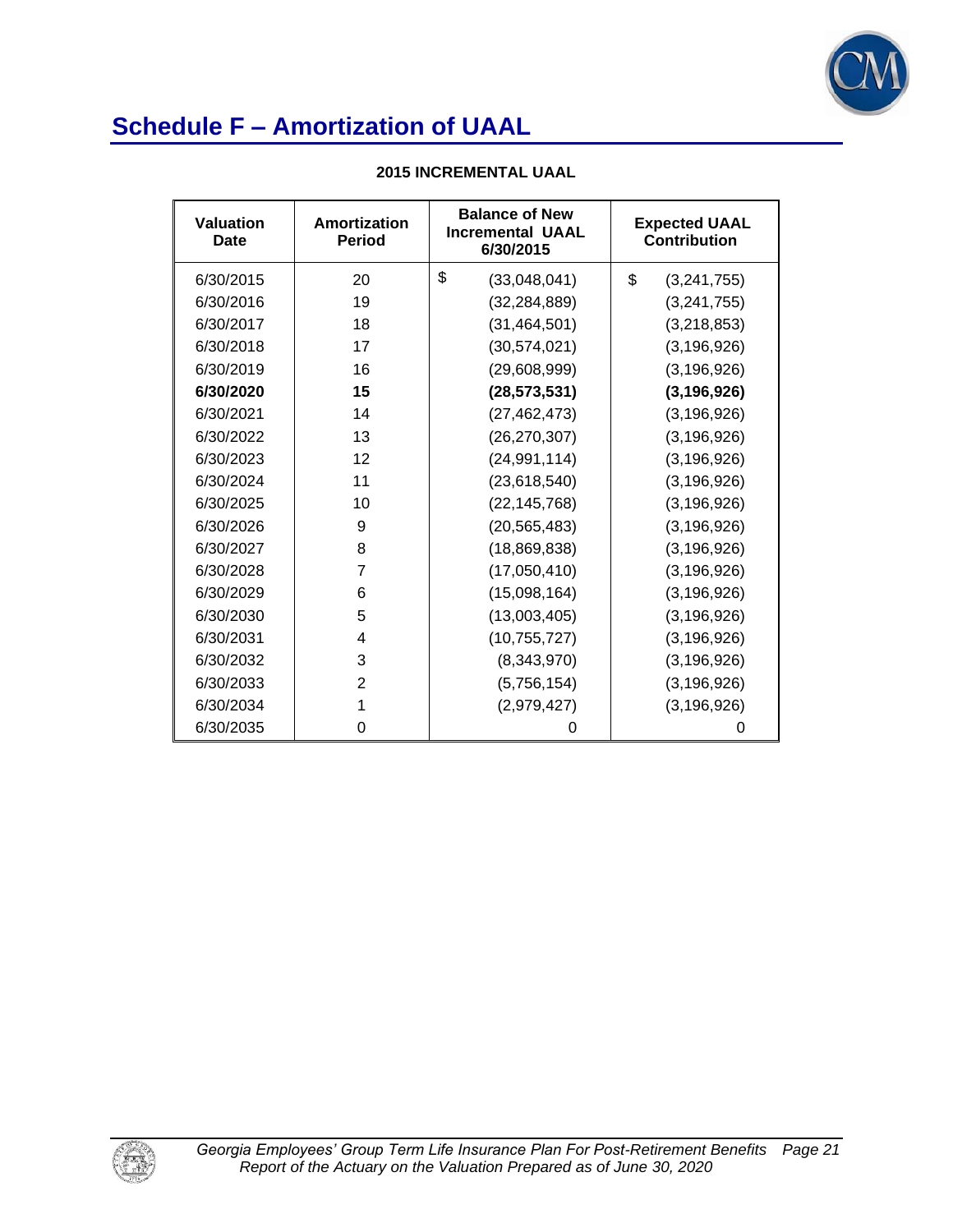

| <b>Valuation</b><br>Date | Amortization<br><b>Period</b> | <b>Balance of New</b><br><b>Incremental UAAL</b><br>6/30/2015 | <b>Expected UAAL</b><br><b>Contribution</b> |  |
|--------------------------|-------------------------------|---------------------------------------------------------------|---------------------------------------------|--|
| 6/30/2015                | 20                            | \$<br>(33,048,041)                                            | \$<br>(3,241,755)                           |  |
| 6/30/2016                | 19                            | (32, 284, 889)                                                | (3, 241, 755)                               |  |
| 6/30/2017                | 18                            | (31, 464, 501)                                                | (3,218,853)                                 |  |
| 6/30/2018                | 17                            | (30, 574, 021)                                                | (3, 196, 926)                               |  |
| 6/30/2019                | 16                            | (29,608,999)                                                  | (3, 196, 926)                               |  |
| 6/30/2020                | 15                            | (28, 573, 531)                                                | (3, 196, 926)                               |  |
| 6/30/2021                | 14                            | (27, 462, 473)                                                | (3, 196, 926)                               |  |
| 6/30/2022                | 13                            | (26, 270, 307)                                                | (3, 196, 926)                               |  |
| 6/30/2023                | 12                            | (24, 991, 114)                                                | (3, 196, 926)                               |  |
| 6/30/2024                | 11                            | (23, 618, 540)                                                | (3, 196, 926)                               |  |
| 6/30/2025                | 10                            | (22, 145, 768)                                                | (3, 196, 926)                               |  |
| 6/30/2026                | 9                             | (20, 565, 483)                                                | (3, 196, 926)                               |  |
| 6/30/2027                | 8                             | (18,869,838)                                                  | (3, 196, 926)                               |  |
| 6/30/2028                | $\overline{7}$                | (17,050,410)                                                  | (3, 196, 926)                               |  |
| 6/30/2029                | 6                             | (15,098,164)                                                  | (3, 196, 926)                               |  |
| 6/30/2030                | 5                             | (13,003,405)                                                  | (3, 196, 926)                               |  |
| 6/30/2031                | 4                             | (10, 755, 727)                                                | (3, 196, 926)                               |  |
| 6/30/2032                | 3                             | (8,343,970)                                                   | (3, 196, 926)                               |  |
| 6/30/2033                | 2                             | (5,756,154)                                                   | (3, 196, 926)                               |  |
| 6/30/2034                | 1                             | (2,979,427)                                                   | (3, 196, 926)                               |  |
| 6/30/2035                | 0                             | 0                                                             | 0                                           |  |

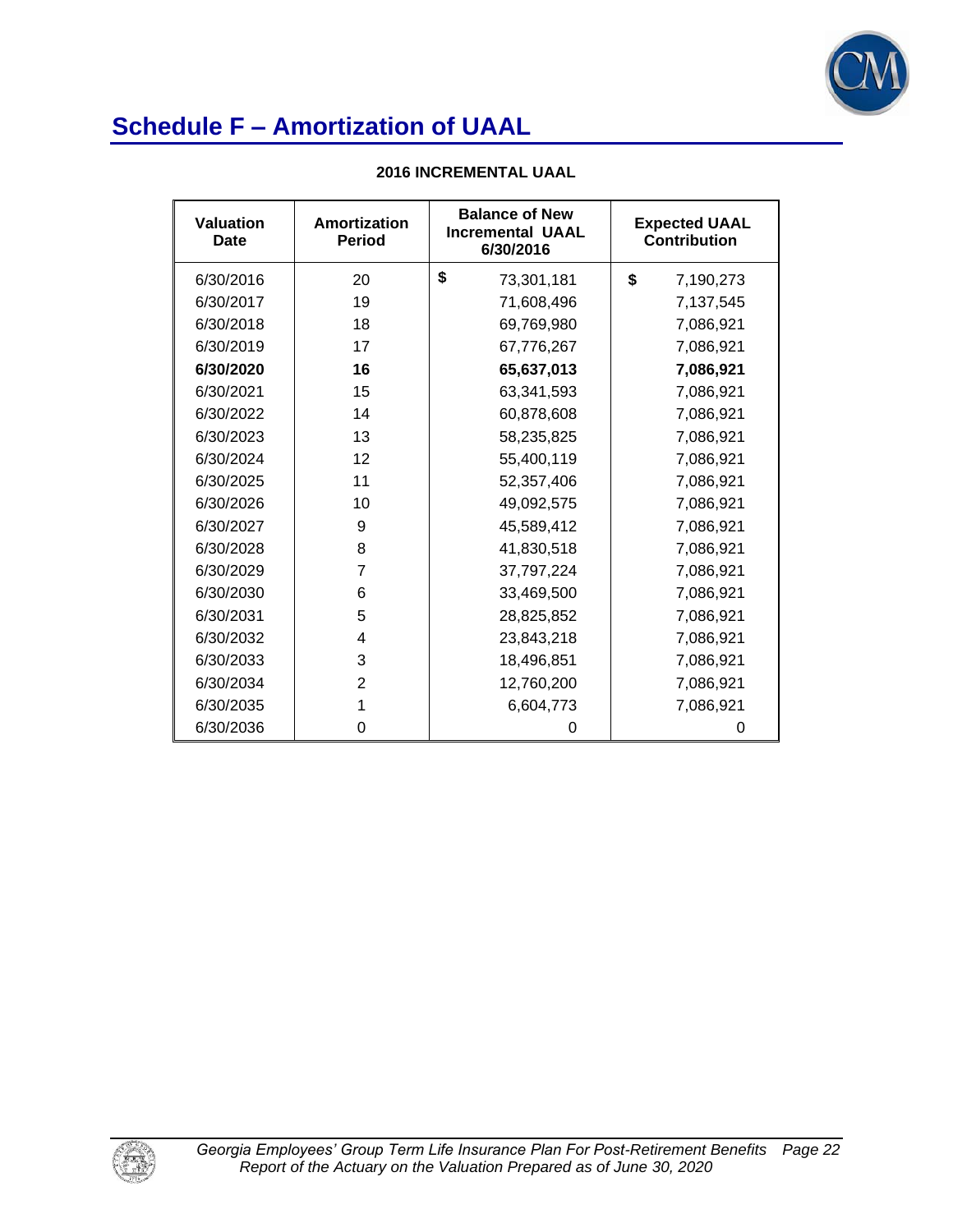

| <b>Valuation</b><br><b>Date</b> | <b>Amortization</b><br><b>Period</b> | <b>Balance of New</b><br><b>Incremental UAAL</b><br>6/30/2016 |            | <b>Expected UAAL</b><br><b>Contribution</b> |           |
|---------------------------------|--------------------------------------|---------------------------------------------------------------|------------|---------------------------------------------|-----------|
| 6/30/2016                       | 20                                   | \$                                                            | 73,301,181 | \$                                          | 7,190,273 |
| 6/30/2017                       | 19                                   |                                                               | 71,608,496 |                                             | 7,137,545 |
| 6/30/2018                       | 18                                   |                                                               | 69,769,980 |                                             | 7,086,921 |
| 6/30/2019                       | 17                                   |                                                               | 67,776,267 |                                             | 7,086,921 |
| 6/30/2020                       | 16                                   |                                                               | 65,637,013 |                                             | 7,086,921 |
| 6/30/2021                       | 15                                   |                                                               | 63,341,593 |                                             | 7,086,921 |
| 6/30/2022                       | 14                                   |                                                               | 60,878,608 |                                             | 7,086,921 |
| 6/30/2023                       | 13                                   |                                                               | 58,235,825 |                                             | 7,086,921 |
| 6/30/2024                       | 12                                   |                                                               | 55,400,119 |                                             | 7,086,921 |
| 6/30/2025                       | 11                                   |                                                               | 52,357,406 |                                             | 7,086,921 |
| 6/30/2026                       | 10                                   |                                                               | 49,092,575 |                                             | 7,086,921 |
| 6/30/2027                       | 9                                    |                                                               | 45,589,412 |                                             | 7,086,921 |
| 6/30/2028                       | 8                                    |                                                               | 41,830,518 |                                             | 7,086,921 |
| 6/30/2029                       | 7                                    |                                                               | 37,797,224 |                                             | 7,086,921 |
| 6/30/2030                       | 6                                    |                                                               | 33,469,500 |                                             | 7,086,921 |
| 6/30/2031                       | 5                                    |                                                               | 28,825,852 |                                             | 7,086,921 |
| 6/30/2032                       | 4                                    |                                                               | 23,843,218 |                                             | 7,086,921 |
| 6/30/2033                       | 3                                    |                                                               | 18,496,851 |                                             | 7,086,921 |
| 6/30/2034                       | 2                                    |                                                               | 12,760,200 |                                             | 7,086,921 |
| 6/30/2035                       | 1                                    |                                                               | 6,604,773  |                                             | 7,086,921 |
| 6/30/2036                       | 0                                    |                                                               | 0          |                                             | 0         |

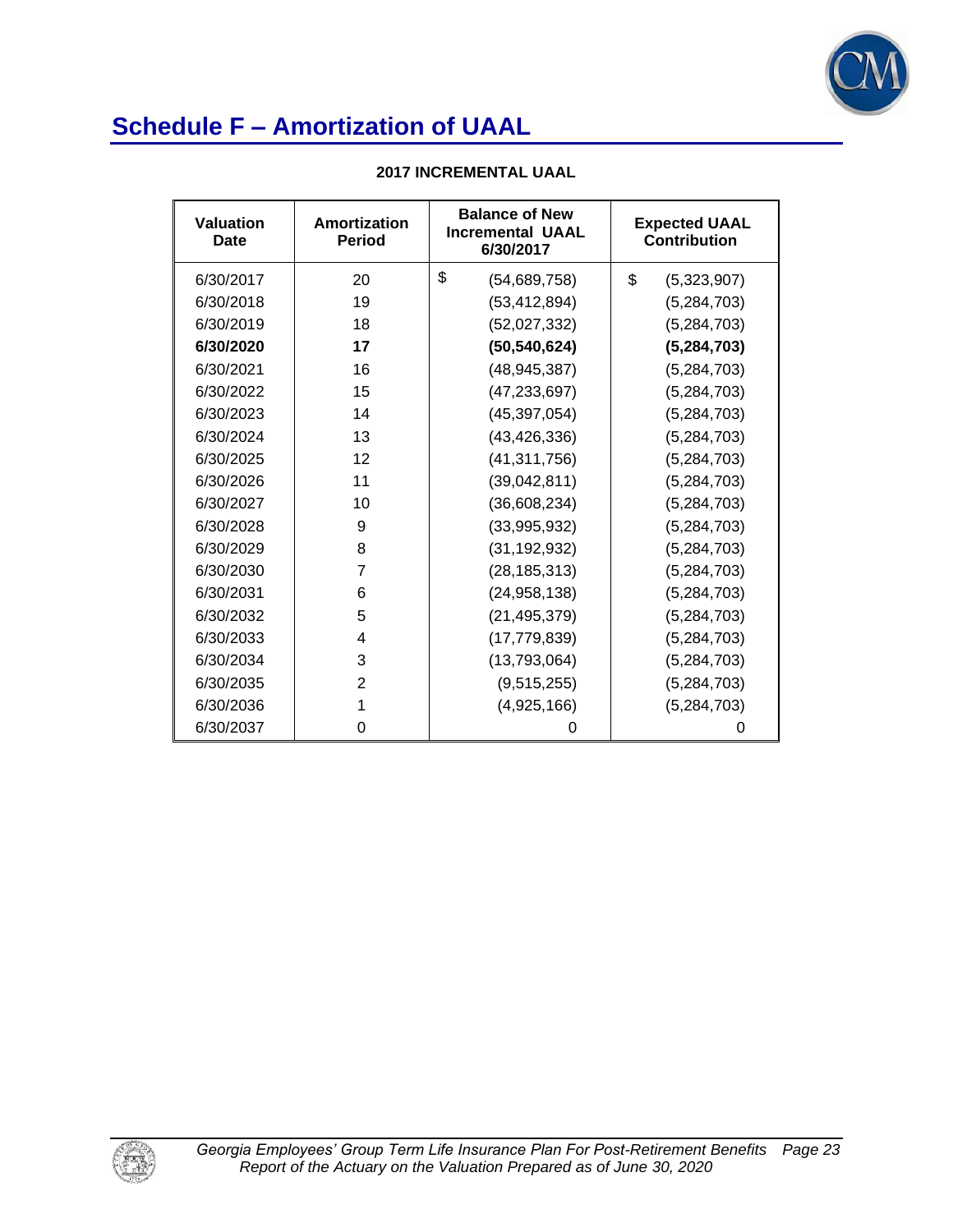

| <b>Valuation</b><br>Date | Amortization<br><b>Period</b> | <b>Balance of New</b><br><b>Incremental UAAL</b><br>6/30/2017 | <b>Expected UAAL</b><br><b>Contribution</b> |  |
|--------------------------|-------------------------------|---------------------------------------------------------------|---------------------------------------------|--|
| 6/30/2017                | 20                            | \$<br>(54, 689, 758)                                          | \$<br>(5,323,907)                           |  |
| 6/30/2018                | 19                            | (53, 412, 894)                                                | (5,284,703)                                 |  |
| 6/30/2019                | 18                            | (52,027,332)                                                  | (5, 284, 703)                               |  |
| 6/30/2020                | 17                            | (50, 540, 624)                                                | (5, 284, 703)                               |  |
| 6/30/2021                | 16                            | (48, 945, 387)                                                | (5,284,703)                                 |  |
| 6/30/2022                | 15                            | (47, 233, 697)                                                | (5, 284, 703)                               |  |
| 6/30/2023                | 14                            | (45, 397, 054)                                                | (5, 284, 703)                               |  |
| 6/30/2024                | 13                            | (43, 426, 336)                                                | (5, 284, 703)                               |  |
| 6/30/2025                | 12                            | (41, 311, 756)                                                | (5, 284, 703)                               |  |
| 6/30/2026                | 11                            | (39,042,811)                                                  | (5, 284, 703)                               |  |
| 6/30/2027                | 10                            | (36,608,234)                                                  | (5,284,703)                                 |  |
| 6/30/2028                | 9                             | (33,995,932)                                                  | (5,284,703)                                 |  |
| 6/30/2029                | 8                             | (31, 192, 932)                                                | (5,284,703)                                 |  |
| 6/30/2030                | 7                             | (28, 185, 313)                                                | (5, 284, 703)                               |  |
| 6/30/2031                | 6                             | (24, 958, 138)                                                | (5, 284, 703)                               |  |
| 6/30/2032                | 5                             | (21, 495, 379)                                                | (5, 284, 703)                               |  |
| 6/30/2033                | 4                             | (17, 779, 839)                                                | (5, 284, 703)                               |  |
| 6/30/2034                | 3                             | (13,793,064)                                                  | (5,284,703)                                 |  |
| 6/30/2035                | 2                             | (9,515,255)                                                   | (5,284,703)                                 |  |
| 6/30/2036                | 1                             | (4,925,166)                                                   | (5,284,703)                                 |  |
| 6/30/2037                | 0                             | 0                                                             | 0                                           |  |

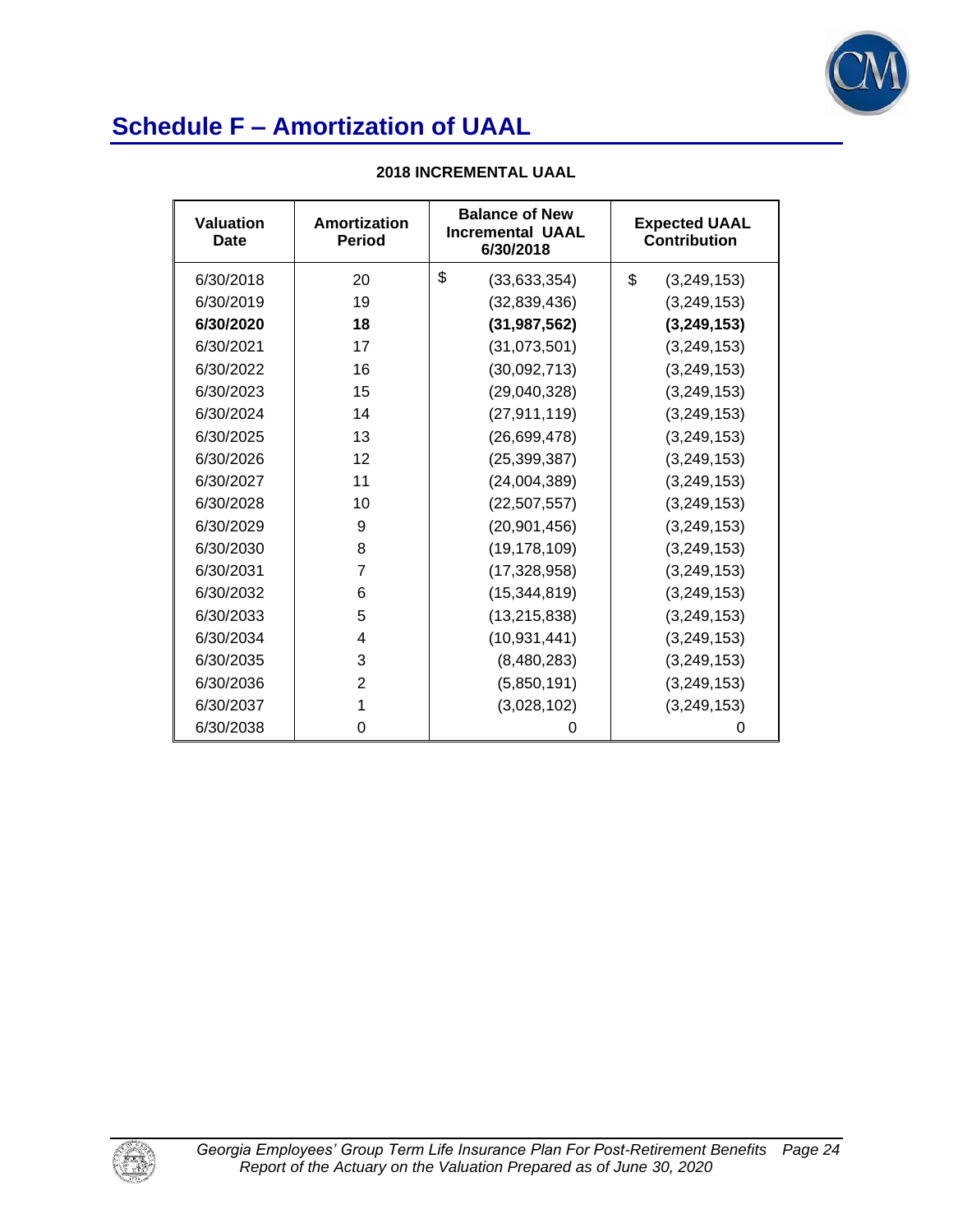

| Valuation<br>Date | <b>Amortization</b><br><b>Period</b> | <b>Balance of New</b><br><b>Incremental UAAL</b><br>6/30/2018 | <b>Expected UAAL</b><br><b>Contribution</b> |  |
|-------------------|--------------------------------------|---------------------------------------------------------------|---------------------------------------------|--|
| 6/30/2018         | 20                                   | \$<br>(33,633,354)                                            | \$<br>(3,249,153)                           |  |
| 6/30/2019         | 19                                   | (32,839,436)                                                  | (3,249,153)                                 |  |
| 6/30/2020         | 18                                   | (31, 987, 562)                                                | (3,249,153)                                 |  |
| 6/30/2021         | 17                                   | (31,073,501)                                                  | (3,249,153)                                 |  |
| 6/30/2022         | 16                                   | (30,092,713)                                                  | (3,249,153)                                 |  |
| 6/30/2023         | 15                                   | (29,040,328)                                                  | (3, 249, 153)                               |  |
| 6/30/2024         | 14                                   | (27, 911, 119)                                                | (3, 249, 153)                               |  |
| 6/30/2025         | 13                                   | (26, 699, 478)                                                | (3,249,153)                                 |  |
| 6/30/2026         | 12                                   | (25, 399, 387)                                                | (3, 249, 153)                               |  |
| 6/30/2027         | 11                                   | (24,004,389)                                                  | (3, 249, 153)                               |  |
| 6/30/2028         | 10                                   | (22, 507, 557)                                                | (3,249,153)                                 |  |
| 6/30/2029         | 9                                    | (20, 901, 456)                                                | (3,249,153)                                 |  |
| 6/30/2030         | 8                                    | (19, 178, 109)                                                | (3,249,153)                                 |  |
| 6/30/2031         | 7                                    | (17, 328, 958)                                                | (3, 249, 153)                               |  |
| 6/30/2032         | 6                                    | (15, 344, 819)                                                | (3, 249, 153)                               |  |
| 6/30/2033         | 5                                    | (13, 215, 838)                                                | (3,249,153)                                 |  |
| 6/30/2034         | 4                                    | (10, 931, 441)                                                | (3, 249, 153)                               |  |
| 6/30/2035         | 3                                    | (8,480,283)                                                   | (3, 249, 153)                               |  |
| 6/30/2036         | $\overline{2}$                       | (5,850,191)                                                   | (3,249,153)                                 |  |
| 6/30/2037         | 1                                    | (3,028,102)                                                   | (3, 249, 153)                               |  |
| 6/30/2038         | 0                                    | 0                                                             | 0                                           |  |

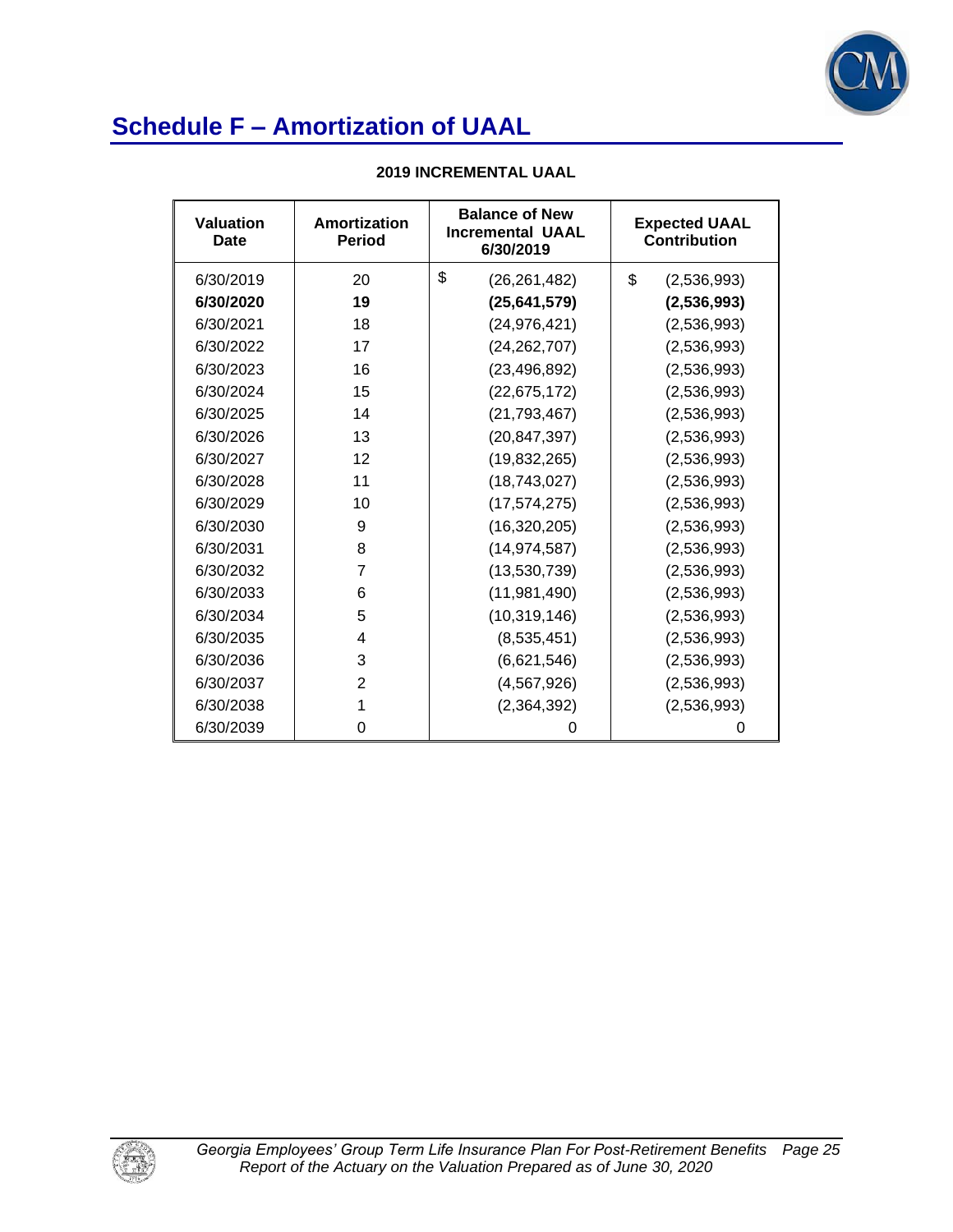

| Valuation<br>Date | Amortization<br><b>Period</b> | <b>Balance of New</b><br><b>Incremental UAAL</b><br>6/30/2019 | <b>Expected UAAL</b><br><b>Contribution</b> |  |
|-------------------|-------------------------------|---------------------------------------------------------------|---------------------------------------------|--|
| 6/30/2019         | 20                            | \$<br>(26, 261, 482)                                          | \$<br>(2,536,993)                           |  |
| 6/30/2020         | 19                            | (25,641,579)                                                  | (2,536,993)                                 |  |
| 6/30/2021         | 18                            | (24, 976, 421)                                                | (2,536,993)                                 |  |
| 6/30/2022         | 17                            | (24, 262, 707)                                                | (2,536,993)                                 |  |
| 6/30/2023         | 16                            | (23, 496, 892)                                                | (2,536,993)                                 |  |
| 6/30/2024         | 15                            | (22, 675, 172)                                                | (2,536,993)                                 |  |
| 6/30/2025         | 14                            | (21, 793, 467)                                                | (2,536,993)                                 |  |
| 6/30/2026         | 13                            | (20, 847, 397)                                                | (2,536,993)                                 |  |
| 6/30/2027         | 12                            | (19, 832, 265)                                                | (2,536,993)                                 |  |
| 6/30/2028         | 11                            | (18, 743, 027)                                                | (2,536,993)                                 |  |
| 6/30/2029         | 10                            | (17, 574, 275)                                                | (2,536,993)                                 |  |
| 6/30/2030         | 9                             | (16,320,205)                                                  | (2,536,993)                                 |  |
| 6/30/2031         | 8                             | (14, 974, 587)                                                | (2,536,993)                                 |  |
| 6/30/2032         | 7                             | (13,530,739)                                                  | (2,536,993)                                 |  |
| 6/30/2033         | 6                             | (11, 981, 490)                                                | (2,536,993)                                 |  |
| 6/30/2034         | 5                             | (10, 319, 146)                                                | (2,536,993)                                 |  |
| 6/30/2035         | 4                             | (8,535,451)                                                   | (2,536,993)                                 |  |
| 6/30/2036         | 3                             | (6,621,546)                                                   | (2,536,993)                                 |  |
| 6/30/2037         | $\overline{2}$                | (4, 567, 926)                                                 | (2,536,993)                                 |  |
| 6/30/2038         | 1                             | (2,364,392)<br>(2,536,993)                                    |                                             |  |
| 6/30/2039         | 0                             | 0                                                             | 0                                           |  |

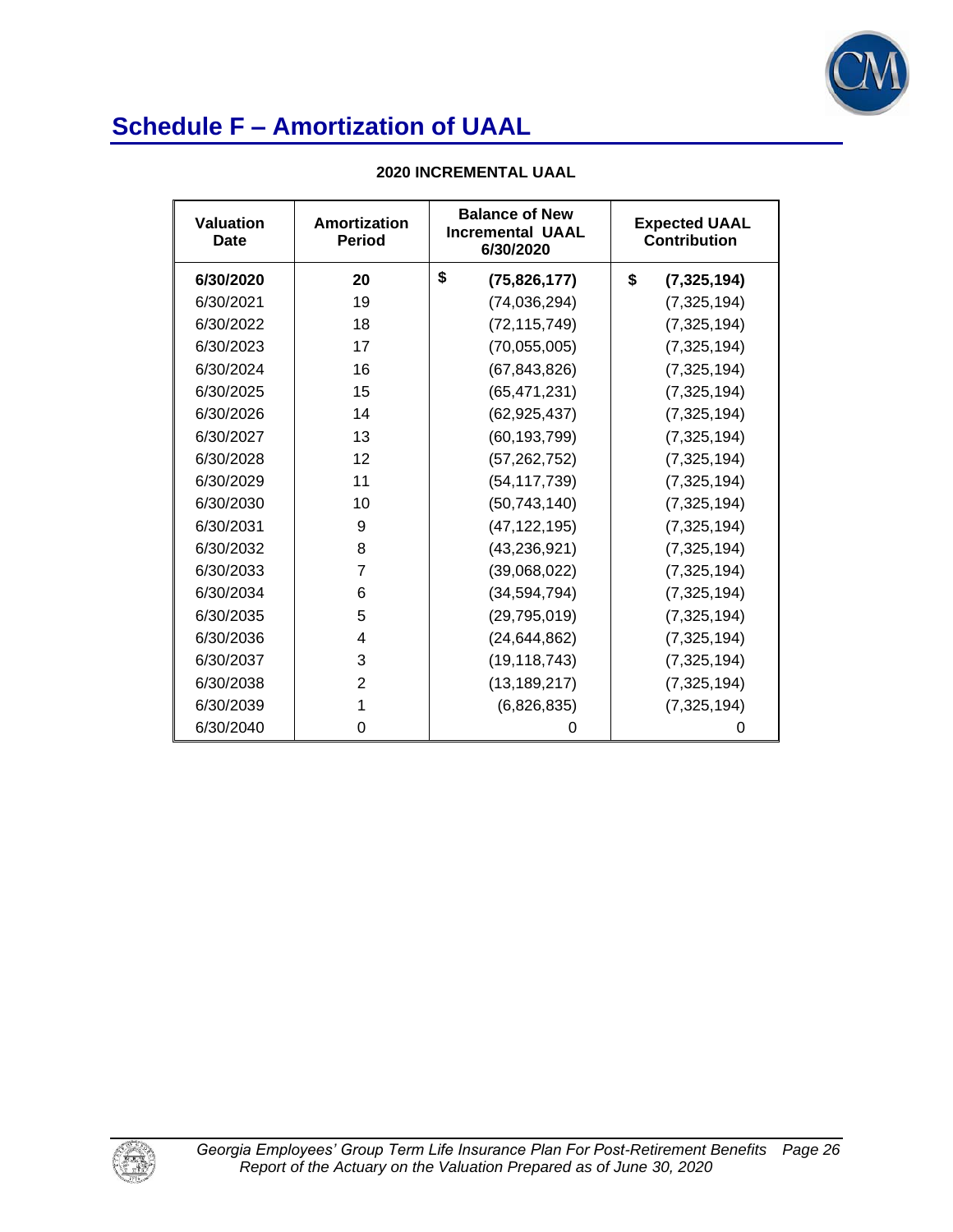

| <b>Valuation</b><br><b>Date</b> | Amortization<br><b>Period</b> | <b>Balance of New</b><br><b>Incremental UAAL</b><br>6/30/2020 | <b>Expected UAAL</b><br><b>Contribution</b> |  |
|---------------------------------|-------------------------------|---------------------------------------------------------------|---------------------------------------------|--|
| 6/30/2020                       | 20                            | \$<br>(75, 826, 177)                                          | \$<br>(7, 325, 194)                         |  |
| 6/30/2021                       | 19                            | (74, 036, 294)                                                | (7, 325, 194)                               |  |
| 6/30/2022                       | 18                            | (72, 115, 749)                                                | (7, 325, 194)                               |  |
| 6/30/2023                       | 17                            | (70, 055, 005)                                                | (7, 325, 194)                               |  |
| 6/30/2024                       | 16                            | (67, 843, 826)                                                | (7,325,194)                                 |  |
| 6/30/2025                       | 15                            | (65, 471, 231)                                                | (7, 325, 194)                               |  |
| 6/30/2026                       | 14                            | (62, 925, 437)                                                | (7, 325, 194)                               |  |
| 6/30/2027                       | 13                            | (60, 193, 799)                                                | (7, 325, 194)                               |  |
| 6/30/2028                       | 12                            | (57, 262, 752)                                                | (7, 325, 194)                               |  |
| 6/30/2029                       | 11                            | (54, 117, 739)                                                | (7, 325, 194)                               |  |
| 6/30/2030                       | 10                            | (50, 743, 140)                                                | (7, 325, 194)                               |  |
| 6/30/2031                       | 9                             | (47, 122, 195)                                                | (7,325,194)                                 |  |
| 6/30/2032                       | 8                             | (43, 236, 921)                                                | (7, 325, 194)                               |  |
| 6/30/2033                       | 7                             | (39,068,022)                                                  | (7, 325, 194)                               |  |
| 6/30/2034                       | 6                             | (34, 594, 794)                                                | (7, 325, 194)                               |  |
| 6/30/2035                       | 5                             | (29, 795, 019)                                                | (7,325,194)                                 |  |
| 6/30/2036                       | 4                             | (24, 644, 862)                                                | (7, 325, 194)                               |  |
| 6/30/2037                       | 3                             | (19, 118, 743)                                                | (7, 325, 194)                               |  |
| 6/30/2038                       | $\overline{2}$                | (13, 189, 217)                                                | (7, 325, 194)                               |  |
| 6/30/2039                       | 1                             | (6,826,835)                                                   | (7,325,194)                                 |  |
| 6/30/2040                       | 0                             | 0                                                             | 0                                           |  |

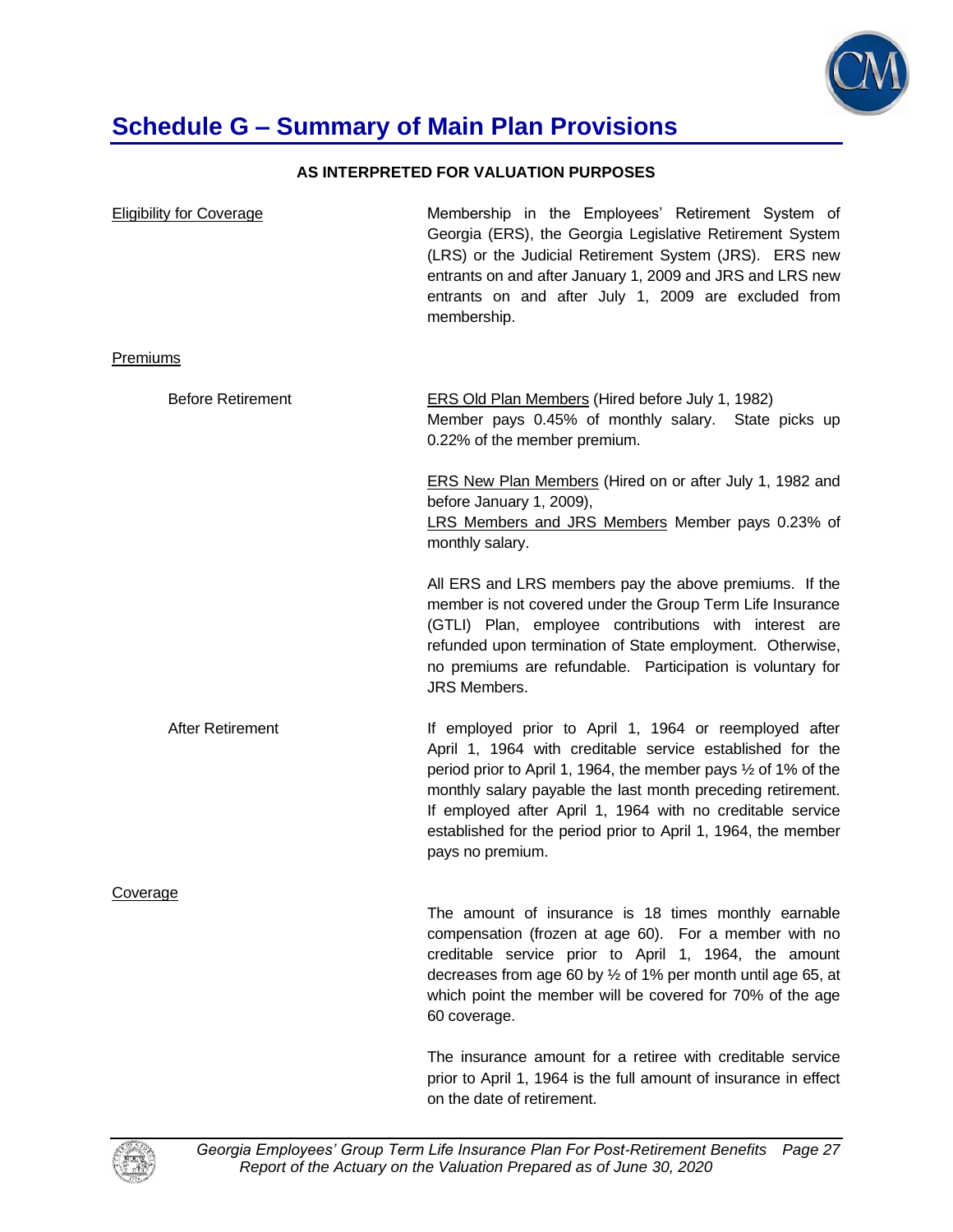

## **Schedule G – Summary of Main Plan Provisions**

### **AS INTERPRETED FOR VALUATION PURPOSES**

| <b>Eligibility for Coverage</b> | Membership in the Employees' Retirement System of<br>Georgia (ERS), the Georgia Legislative Retirement System<br>(LRS) or the Judicial Retirement System (JRS). ERS new<br>entrants on and after January 1, 2009 and JRS and LRS new<br>entrants on and after July 1, 2009 are excluded from<br>membership.                                                                                                        |
|---------------------------------|--------------------------------------------------------------------------------------------------------------------------------------------------------------------------------------------------------------------------------------------------------------------------------------------------------------------------------------------------------------------------------------------------------------------|
| <b>Premiums</b>                 |                                                                                                                                                                                                                                                                                                                                                                                                                    |
| <b>Before Retirement</b>        | <b>ERS Old Plan Members (Hired before July 1, 1982)</b><br>Member pays 0.45% of monthly salary. State picks up<br>0.22% of the member premium.                                                                                                                                                                                                                                                                     |
|                                 | <b>ERS New Plan Members (Hired on or after July 1, 1982 and</b><br>before January 1, 2009),<br>LRS Members and JRS Members Member pays 0.23% of<br>monthly salary.                                                                                                                                                                                                                                                 |
|                                 | All ERS and LRS members pay the above premiums. If the<br>member is not covered under the Group Term Life Insurance<br>(GTLI) Plan, employee contributions with interest are<br>refunded upon termination of State employment. Otherwise,<br>no premiums are refundable. Participation is voluntary for<br>JRS Members.                                                                                            |
| After Retirement                | If employed prior to April 1, 1964 or reemployed after<br>April 1, 1964 with creditable service established for the<br>period prior to April 1, 1964, the member pays $\frac{1}{2}$ of 1% of the<br>monthly salary payable the last month preceding retirement.<br>If employed after April 1, 1964 with no creditable service<br>established for the period prior to April 1, 1964, the member<br>pays no premium. |
| Coverage                        |                                                                                                                                                                                                                                                                                                                                                                                                                    |
|                                 | The amount of insurance is 18 times monthly earnable<br>compensation (frozen at age 60). For a member with no<br>creditable service prior to April 1, 1964, the amount<br>decreases from age 60 by 1/2 of 1% per month until age 65, at<br>which point the member will be covered for 70% of the age<br>60 coverage.                                                                                               |
|                                 | The insurance amount for a retiree with creditable service<br>prior to April 1, 1964 is the full amount of insurance in effect                                                                                                                                                                                                                                                                                     |



on the date of retirement.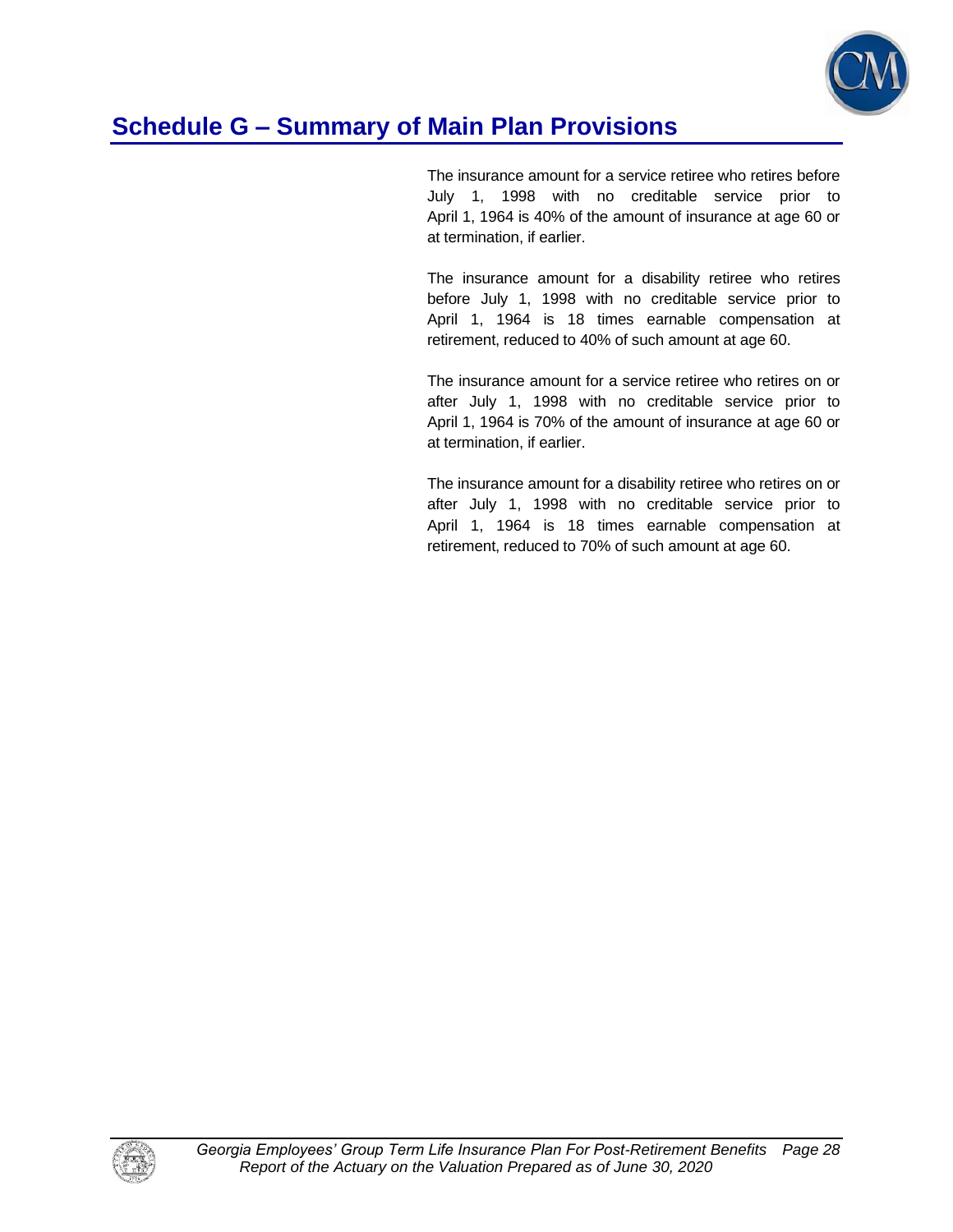

## **Schedule G – Summary of Main Plan Provisions**

The insurance amount for a service retiree who retires before July 1, 1998 with no creditable service prior to April 1, 1964 is 40% of the amount of insurance at age 60 or at termination, if earlier.

The insurance amount for a disability retiree who retires before July 1, 1998 with no creditable service prior to April 1, 1964 is 18 times earnable compensation at retirement, reduced to 40% of such amount at age 60.

The insurance amount for a service retiree who retires on or after July 1, 1998 with no creditable service prior to April 1, 1964 is 70% of the amount of insurance at age 60 or at termination, if earlier.

The insurance amount for a disability retiree who retires on or after July 1, 1998 with no creditable service prior to April 1, 1964 is 18 times earnable compensation at retirement, reduced to 70% of such amount at age 60.